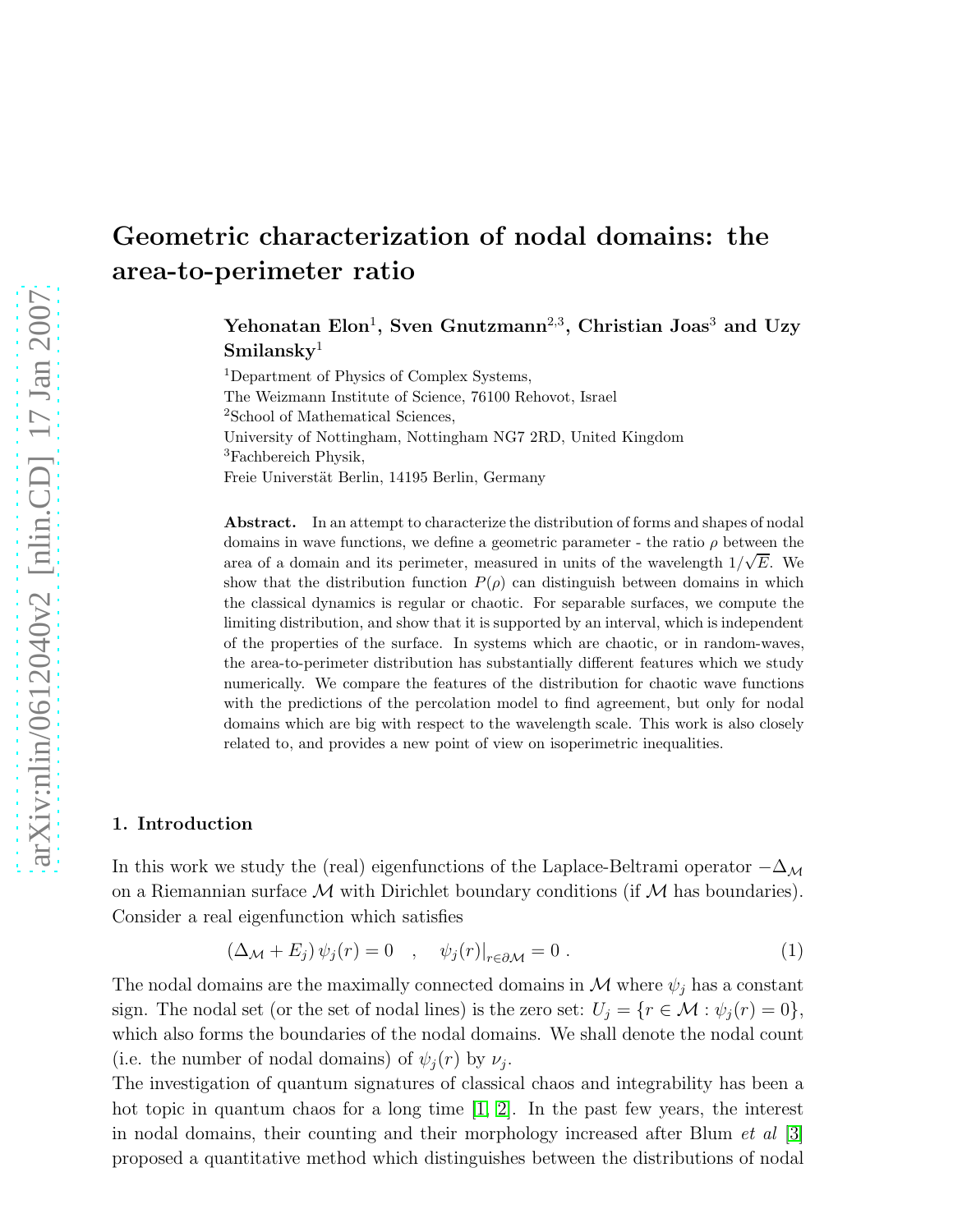# Geometric characterization of nodal domains: the area-to-perimeter ratio

Yehonatan Elon<sup>1</sup>, Sven Gnutzmann<sup>2,3</sup>, Christian Joas<sup>3</sup> and Uzy  $Similarly<sup>1</sup>$ 

<sup>1</sup>Department of Physics of Complex Systems, The Weizmann Institute of Science, 76100 Rehovot, Israel <sup>2</sup>School of Mathematical Sciences, University of Nottingham, Nottingham NG7 2RD, United Kingdom <sup>3</sup>Fachbereich Physik, Freie Universtät Berlin, 14195 Berlin, Germany

Abstract. In an attempt to characterize the distribution of forms and shapes of nodal domains in wave functions, we define a geometric parameter - the ratio  $\rho$  between the area of a domain and its perimeter, measured in units of the wavelength  $1/\sqrt{E}$ . We show that the distribution function  $P(\rho)$  can distinguish between domains in which the classical dynamics is regular or chaotic. For separable surfaces, we compute the limiting distribution, and show that it is supported by an interval, which is independent of the properties of the surface. In systems which are chaotic, or in random-waves, the area-to-perimeter distribution has substantially different features which we study numerically. We compare the features of the distribution for chaotic wave functions with the predictions of the percolation model to find agreement, but only for nodal domains which are big with respect to the wavelength scale. This work is also closely related to, and provides a new point of view on isoperimetric inequalities.

## 1. Introduction

In this work we study the (real) eigenfunctions of the Laplace-Beltrami operator  $-\Delta_M$ on a Riemannian surface  $\mathcal M$  with Dirichlet boundary conditions (if  $\mathcal M$  has boundaries). Consider a real eigenfunction which satisfies

<span id="page-0-0"></span>
$$
(\Delta_{\mathcal{M}} + E_j) \psi_j(r) = 0 \quad , \quad \psi_j(r)|_{r \in \partial \mathcal{M}} = 0 \; . \tag{1}
$$

The nodal domains are the maximally connected domains in  $\mathcal M$  where  $\psi_i$  has a constant sign. The nodal set (or the set of nodal lines) is the zero set:  $U_j = \{r \in \mathcal{M} : \psi_j(r) = 0\},\$ which also forms the boundaries of the nodal domains. We shall denote the nodal count (i.e. the number of nodal domains) of  $\psi_j(r)$  by  $\nu_j$ .

The investigation of quantum signatures of classical chaos and integrability has been a hot topic in quantum chaos for a long time [\[1,](#page-20-0) [2\]](#page-20-1). In the past few years, the interest in nodal domains, their counting and their morphology increased after Blum *et al* [\[3\]](#page-20-2) proposed a quantitative method which distinguishes between the distributions of nodal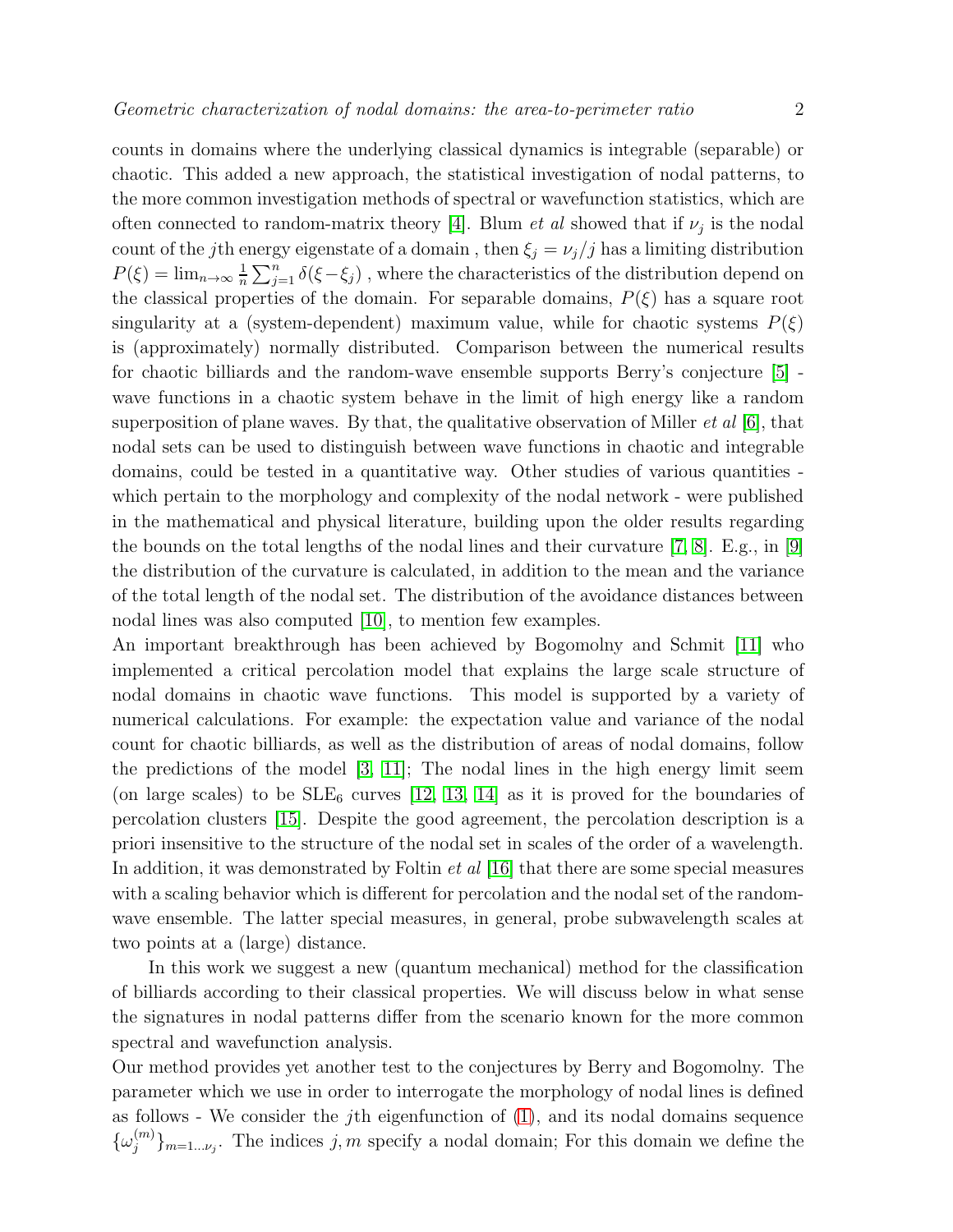counts in domains where the underlying classical dynamics is integrable (separable) or chaotic. This added a new approach, the statistical investigation of nodal patterns, to the more common investigation methods of spectral or wavefunction statistics, which are often connected to random-matrix theory [\[4\]](#page-20-3). Blum *et al* showed that if  $\nu_j$  is the nodal count of the *j*th energy eigenstate of a domain , then  $\xi_j = \nu_j/j$  has a limiting distribution  $P(\xi) = \lim_{n \to \infty} \frac{1}{n}$  $\frac{1}{n} \sum_{j=1}^{n} \delta(\xi - \xi_j)$ , where the characteristics of the distribution depend on the classical properties of the domain. For separable domains,  $P(\xi)$  has a square root singularity at a (system-dependent) maximum value, while for chaotic systems  $P(\xi)$ is (approximately) normally distributed. Comparison between the numerical results for chaotic billiards and the random-wave ensemble supports Berry's conjecture [\[5\]](#page-20-4) wave functions in a chaotic system behave in the limit of high energy like a random superposition of plane waves. By that, the qualitative observation of Miller *et al* [\[6\]](#page-20-5), that nodal sets can be used to distinguish between wave functions in chaotic and integrable domains, could be tested in a quantitative way. Other studies of various quantities which pertain to the morphology and complexity of the nodal network - were published in the mathematical and physical literature, building upon the older results regarding the bounds on the total lengths of the nodal lines and their curvature [\[7,](#page-20-6) [8\]](#page-20-7). E.g., in [\[9\]](#page-20-8) the distribution of the curvature is calculated, in addition to the mean and the variance of the total length of the nodal set. The distribution of the avoidance distances between nodal lines was also computed [\[10\]](#page-20-9), to mention few examples.

An important breakthrough has been achieved by Bogomolny and Schmit [\[11\]](#page-21-0) who implemented a critical percolation model that explains the large scale structure of nodal domains in chaotic wave functions. This model is supported by a variety of numerical calculations. For example: the expectation value and variance of the nodal count for chaotic billiards, as well as the distribution of areas of nodal domains, follow the predictions of the model [\[3,](#page-20-2) [11\]](#page-21-0); The nodal lines in the high energy limit seem (on large scales) to be  $SLE_6$  curves [\[12,](#page-21-1) [13,](#page-21-2) [14\]](#page-21-3) as it is proved for the boundaries of percolation clusters [\[15\]](#page-21-4). Despite the good agreement, the percolation description is a priori insensitive to the structure of the nodal set in scales of the order of a wavelength. In addition, it was demonstrated by Foltin *et al* [\[16\]](#page-21-5) that there are some special measures with a scaling behavior which is different for percolation and the nodal set of the randomwave ensemble. The latter special measures, in general, probe subwavelength scales at two points at a (large) distance.

In this work we suggest a new (quantum mechanical) method for the classification of billiards according to their classical properties. We will discuss below in what sense the signatures in nodal patterns differ from the scenario known for the more common spectral and wavefunction analysis.

Our method provides yet another test to the conjectures by Berry and Bogomolny. The parameter which we use in order to interrogate the morphology of nodal lines is defined as follows - We consider the jth eigenfunction of [\(1\)](#page-0-0), and its nodal domains sequence  $\{\omega_j^{(m)}\}$  ${j \choose j}_{m=1... \nu_j}$ . The indices  $j,m$  specify a nodal domain; For this domain we define the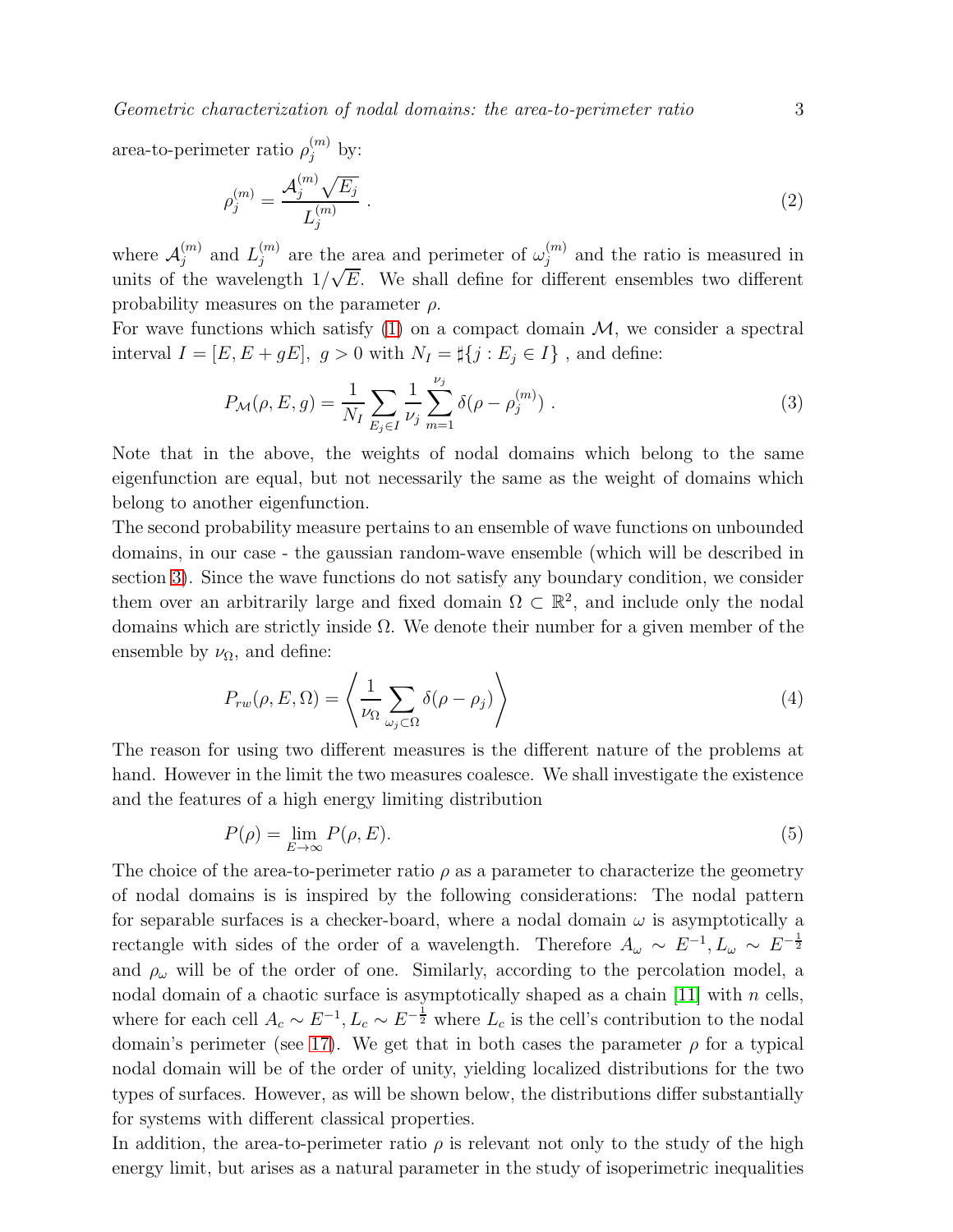*Geometric characterization of nodal domains: the area-to-perimeter ratio* 3

area-to-perimeter ratio  $\rho_j^{(m)}$  by:

$$
\rho_j^{(m)} = \frac{\mathcal{A}_j^{(m)} \sqrt{E_j}}{L_j^{(m)}} \ . \tag{2}
$$

where  $\mathcal{A}_{j}^{(m)}$  $j^{(m)}$  and  $L_j^{(m)}$  $j^{(m)}$  are the area and perimeter of  $\omega_j^{(m)}$  $j^{(m)}$  and the ratio is measured in units of the wavelength  $1/\sqrt{E}$ . We shall define for different ensembles two different probability measures on the parameter  $\rho$ .

For wave functions which satisfy  $(1)$  on a compact domain  $\mathcal{M}$ , we consider a spectral interval  $I = [E, E + gE], g > 0$  with  $N_I = \sharp\{j : E_j \in I\}$ , and define:

<span id="page-2-0"></span>
$$
P_{\mathcal{M}}(\rho, E, g) = \frac{1}{N_I} \sum_{E_j \in I} \frac{1}{\nu_j} \sum_{m=1}^{\nu_j} \delta(\rho - \rho_j^{(m)}) \tag{3}
$$

Note that in the above, the weights of nodal domains which belong to the same eigenfunction are equal, but not necessarily the same as the weight of domains which belong to another eigenfunction.

The second probability measure pertains to an ensemble of wave functions on unbounded domains, in our case - the gaussian random-wave ensemble (which will be described in section [3\)](#page-7-0). Since the wave functions do not satisfy any boundary condition, we consider them over an arbitrarily large and fixed domain  $\Omega \subset \mathbb{R}^2$ , and include only the nodal domains which are strictly inside  $\Omega$ . We denote their number for a given member of the ensemble by  $\nu_{\Omega}$ , and define:

<span id="page-2-1"></span>
$$
P_{rw}(\rho, E, \Omega) = \left\langle \frac{1}{\nu_{\Omega}} \sum_{\omega_j \subset \Omega} \delta(\rho - \rho_j) \right\rangle \tag{4}
$$

The reason for using two different measures is the different nature of the problems at hand. However in the limit the two measures coalesce. We shall investigate the existence and the features of a high energy limiting distribution

$$
P(\rho) = \lim_{E \to \infty} P(\rho, E). \tag{5}
$$

The choice of the area-to-perimeter ratio  $\rho$  as a parameter to characterize the geometry of nodal domains is is inspired by the following considerations: The nodal pattern for separable surfaces is a checker-board, where a nodal domain  $\omega$  is asymptotically a rectangle with sides of the order of a wavelength. Therefore  $A_{\omega} \sim E^{-1}, L_{\omega} \sim E^{-\frac{1}{2}}$ and  $\rho_{\omega}$  will be of the order of one. Similarly, according to the percolation model, a nodal domain of a chaotic surface is asymptotically shaped as a chain [\[11\]](#page-21-0) with  $n$  cells, where for each cell  $A_c \sim E^{-1}$ ,  $L_c \sim E^{-\frac{1}{2}}$  where  $L_c$  is the cell's contribution to the nodal domain's perimeter (see [17\)](#page-8-0). We get that in both cases the parameter  $\rho$  for a typical nodal domain will be of the order of unity, yielding localized distributions for the two types of surfaces. However, as will be shown below, the distributions differ substantially for systems with different classical properties.

In addition, the area-to-perimeter ratio  $\rho$  is relevant not only to the study of the high energy limit, but arises as a natural parameter in the study of isoperimetric inequalities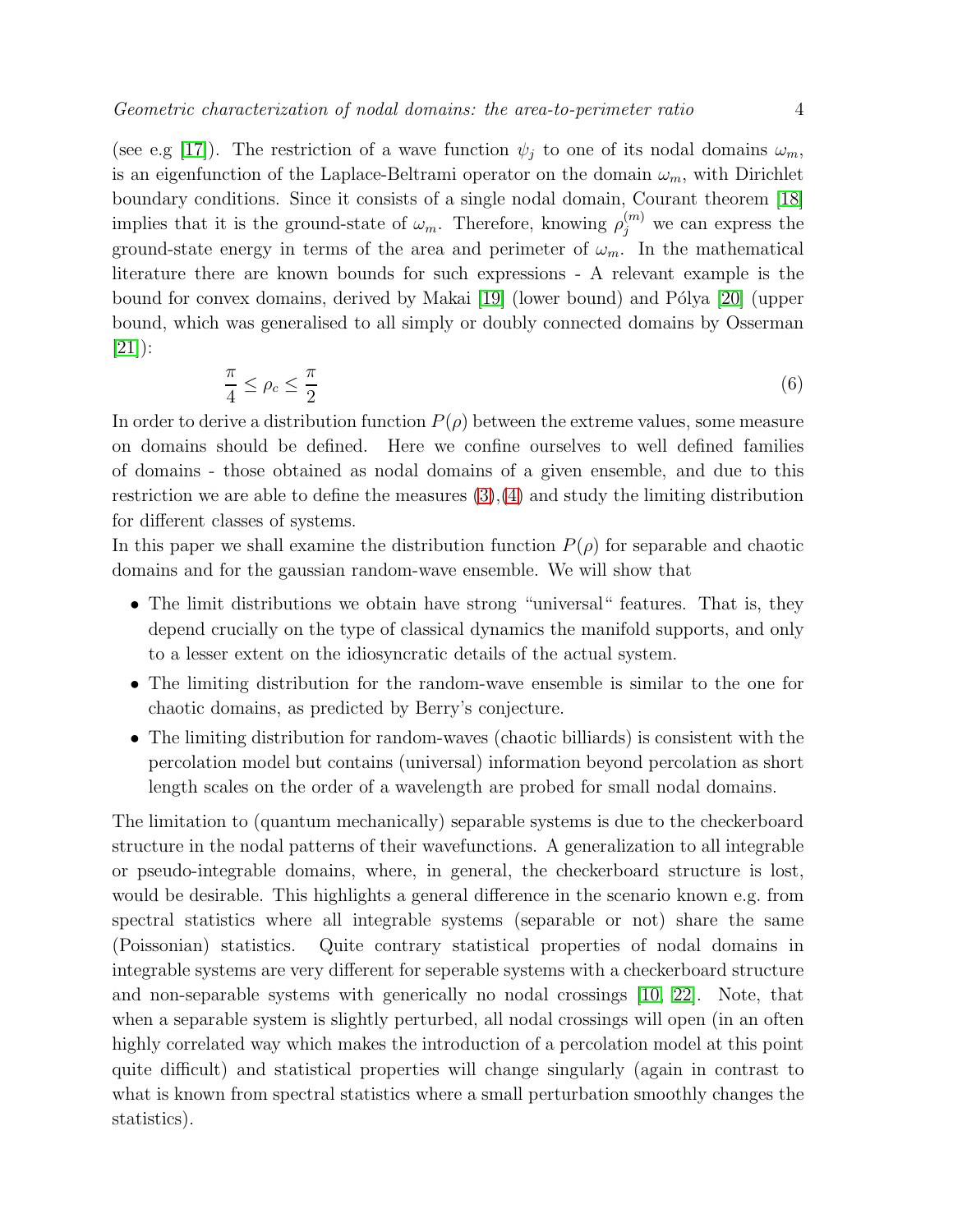(see e.g [\[17\]](#page-21-6)). The restriction of a wave function  $\psi_j$  to one of its nodal domains  $\omega_m$ , is an eigenfunction of the Laplace-Beltrami operator on the domain  $\omega_m$ , with Dirichlet boundary conditions. Since it consists of a single nodal domain, Courant theorem [\[18\]](#page-21-7) implies that it is the ground-state of  $\omega_m$ . Therefore, knowing  $\rho_j^{(m)}$  we can express the ground-state energy in terms of the area and perimeter of  $\omega_m$ . In the mathematical literature there are known bounds for such expressions - A relevant example is the bound for convex domains, derived by Makai [\[19\]](#page-21-8) (lower bound) and Pólya [\[20\]](#page-21-9) (upper bound, which was generalised to all simply or doubly connected domains by Osserman  $|21|)$ :

<span id="page-3-0"></span>
$$
\frac{\pi}{4} \le \rho_c \le \frac{\pi}{2} \tag{6}
$$

In order to derive a distribution function  $P(\rho)$  between the extreme values, some measure on domains should be defined. Here we confine ourselves to well defined families of domains - those obtained as nodal domains of a given ensemble, and due to this restriction we are able to define the measures  $(3),(4)$  $(3),(4)$  and study the limiting distribution for different classes of systems.

In this paper we shall examine the distribution function  $P(\rho)$  for separable and chaotic domains and for the gaussian random-wave ensemble. We will show that

- The limit distributions we obtain have strong "universal" features. That is, they depend crucially on the type of classical dynamics the manifold supports, and only to a lesser extent on the idiosyncratic details of the actual system.
- The limiting distribution for the random-wave ensemble is similar to the one for chaotic domains, as predicted by Berry's conjecture.
- The limiting distribution for random-waves (chaotic billiards) is consistent with the percolation model but contains (universal) information beyond percolation as short length scales on the order of a wavelength are probed for small nodal domains.

The limitation to (quantum mechanically) separable systems is due to the checkerboard structure in the nodal patterns of their wavefunctions. A generalization to all integrable or pseudo-integrable domains, where, in general, the checkerboard structure is lost, would be desirable. This highlights a general difference in the scenario known e.g. from spectral statistics where all integrable systems (separable or not) share the same (Poissonian) statistics. Quite contrary statistical properties of nodal domains in integrable systems are very different for seperable systems with a checkerboard structure and non-separable systems with generically no nodal crossings [\[10,](#page-20-9) [22\]](#page-21-11). Note, that when a separable system is slightly perturbed, all nodal crossings will open (in an often highly correlated way which makes the introduction of a percolation model at this point quite difficult) and statistical properties will change singularly (again in contrast to what is known from spectral statistics where a small perturbation smoothly changes the statistics).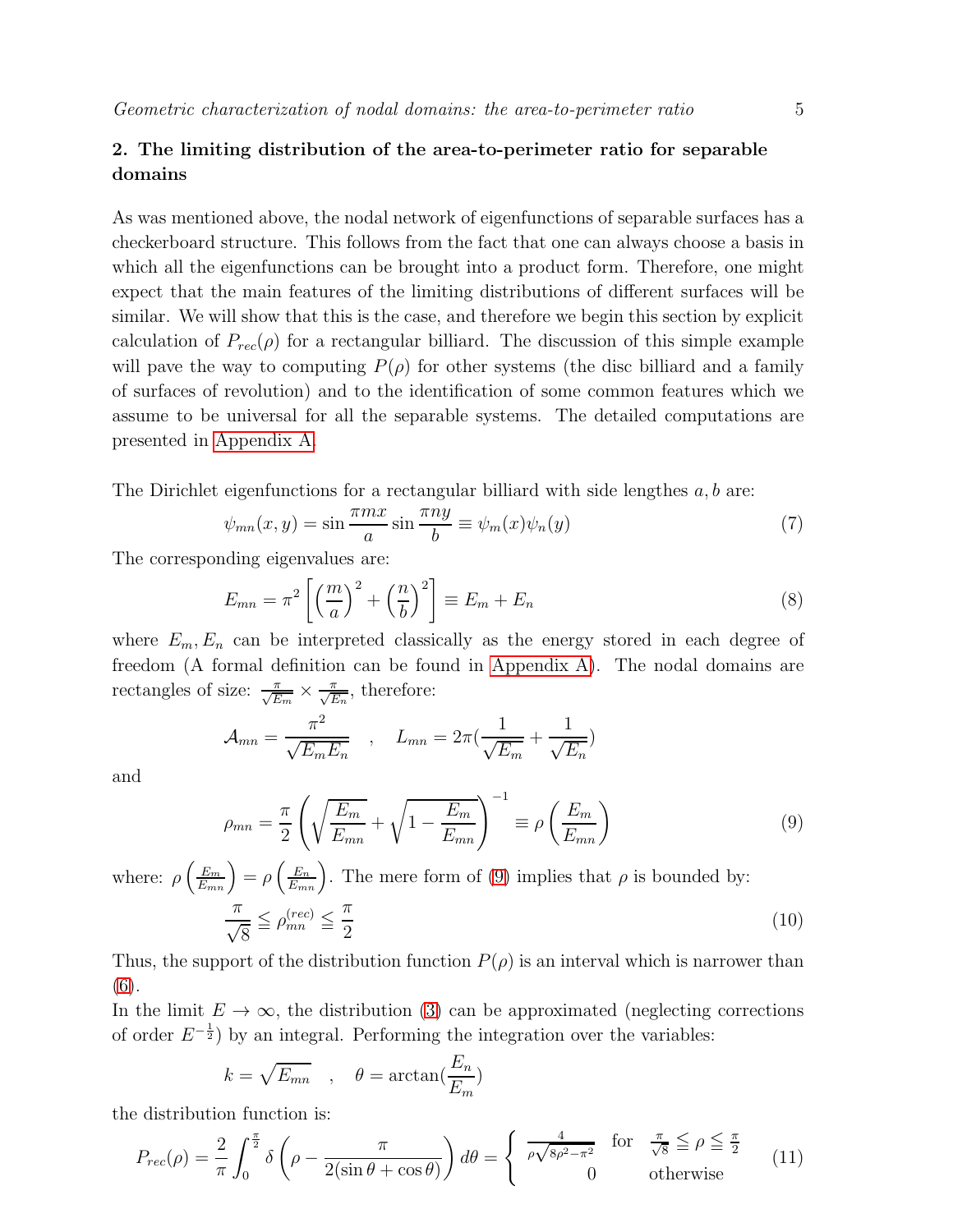## <span id="page-4-2"></span>2. The limiting distribution of the area-to-perimeter ratio for separable domains

As was mentioned above, the nodal network of eigenfunctions of separable surfaces has a checkerboard structure. This follows from the fact that one can always choose a basis in which all the eigenfunctions can be brought into a product form. Therefore, one might expect that the main features of the limiting distributions of different surfaces will be similar. We will show that this is the case, and therefore we begin this section by explicit calculation of  $P_{rec}(\rho)$  for a rectangular billiard. The discussion of this simple example will pave the way to computing  $P(\rho)$  for other systems (the disc billiard and a family of surfaces of revolution) and to the identification of some common features which we assume to be universal for all the separable systems. The detailed computations are presented in [Appendix A.](#page-13-0)

The Dirichlet eigenfunctions for a rectangular billiard with side lengthes  $a, b$  are:

<span id="page-4-3"></span>
$$
\psi_{mn}(x,y) = \sin\frac{\pi mx}{a}\sin\frac{\pi ny}{b} \equiv \psi_m(x)\psi_n(y) \tag{7}
$$

The corresponding eigenvalues are:

$$
E_{mn} = \pi^2 \left[ \left( \frac{m}{a} \right)^2 + \left( \frac{n}{b} \right)^2 \right] \equiv E_m + E_n \tag{8}
$$

where  $E_m, E_n$  can be interpreted classically as the energy stored in each degree of freedom (A formal definition can be found in [Appendix A\)](#page-13-0). The nodal domains are rectangles of size:  $\frac{\pi}{\sqrt{E_m}} \times \frac{\pi}{\sqrt{E_n}}$ , therefore:

$$
\mathcal{A}_{mn} = \frac{\pi^2}{\sqrt{E_m E_n}} \quad , \quad L_{mn} = 2\pi \left(\frac{1}{\sqrt{E_m}} + \frac{1}{\sqrt{E_n}}\right)
$$

and

<span id="page-4-0"></span>
$$
\rho_{mn} = \frac{\pi}{2} \left( \sqrt{\frac{E_m}{E_{mn}}} + \sqrt{1 - \frac{E_m}{E_{mn}}} \right)^{-1} \equiv \rho \left( \frac{E_m}{E_{mn}} \right)
$$
\n(9)

where:  $\rho\left(\frac{E_m}{E_{mn}}\right) = \rho\left(\frac{E_n}{E_{mn}}\right)$ . The mere form of [\(9\)](#page-4-0) implies that  $\rho$  is bounded by: π  $\sqrt{8}$  $\leq \rho_{mn}^{(rec)} \leq \frac{\pi}{2}$ 2 (10)

Thus, the support of the distribution function  $P(\rho)$  is an interval which is narrower than [\(6\)](#page-3-0).

In the limit  $E \to \infty$ , the distribution [\(3\)](#page-2-0) can be approximated (neglecting corrections of order  $E^{-\frac{1}{2}}$  by an integral. Performing the integration over the variables:

$$
k = \sqrt{E_{mn}} \quad , \quad \theta = \arctan(\frac{E_n}{E_m})
$$

the distribution function is:

<span id="page-4-1"></span>
$$
P_{rec}(\rho) = \frac{2}{\pi} \int_0^{\frac{\pi}{2}} \delta\left(\rho - \frac{\pi}{2(\sin\theta + \cos\theta)}\right) d\theta = \begin{cases} \frac{4}{\rho\sqrt{8\rho^2 - \pi^2}} & \text{for } \frac{\pi}{\sqrt{8}} \le \rho \le \frac{\pi}{2} \\ 0 & \text{otherwise} \end{cases}
$$
(11)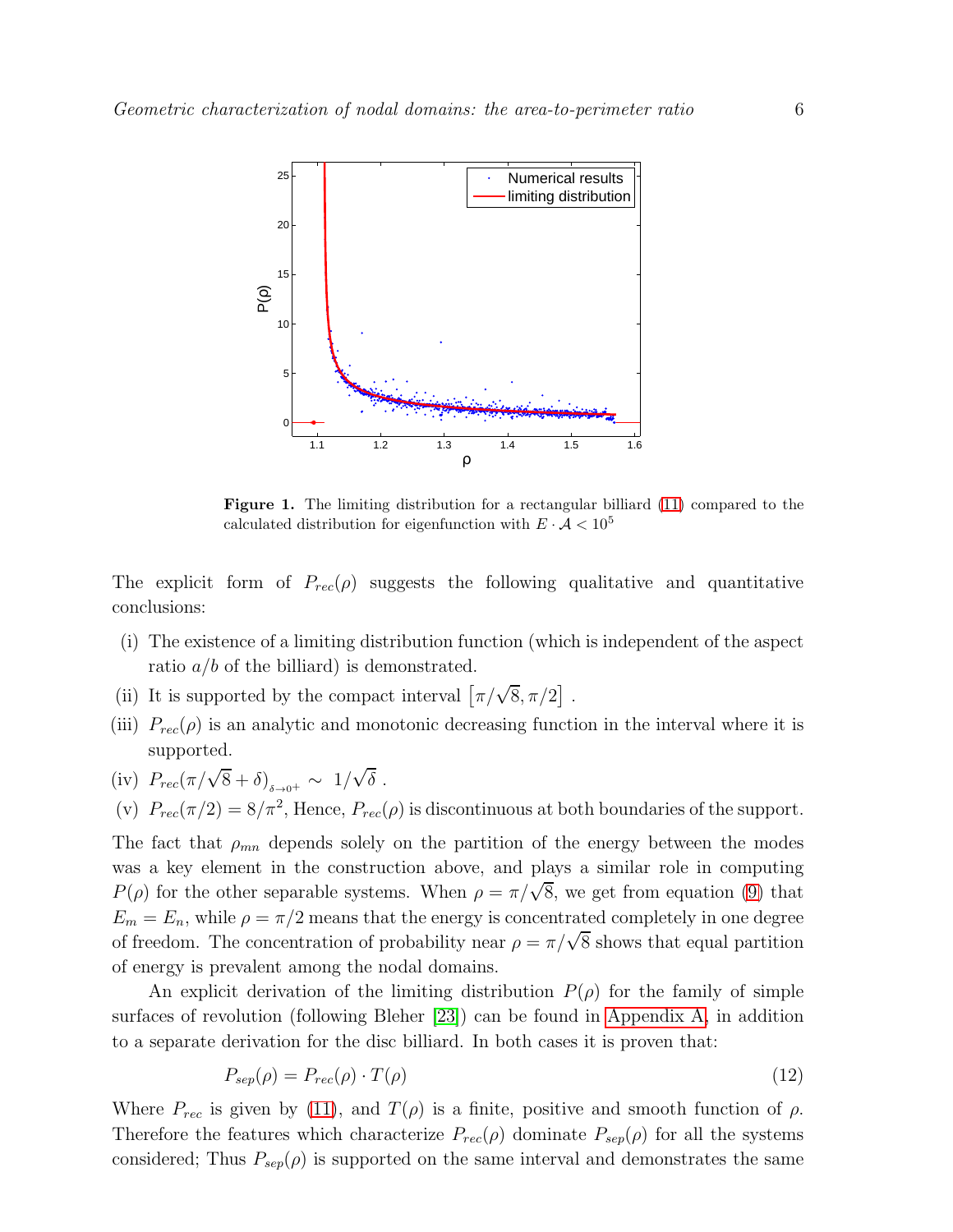

<span id="page-5-0"></span>Figure 1. The limiting distribution for a rectangular billiard [\(11\)](#page-4-1) compared to the calculated distribution for eigenfunction with  $E \cdot A < 10^5$ 

The explicit form of  $P_{rec}(\rho)$  suggests the following qualitative and quantitative conclusions:

- (i) The existence of a limiting distribution function (which is independent of the aspect ratio  $a/b$  of the billiard) is demonstrated.
- (ii) It is supported by the compact interval  $\left[\pi/\sqrt{8}, \pi/2\right]$ .
- (iii)  $P_{rec}(\rho)$  is an analytic and monotonic decreasing function in the interval where it is supported.
- (iv)  $P_{rec}(\pi/\sqrt{8}+\delta)_{\delta\to 0^+} \sim 1/\sqrt{\delta}$ .
- (v)  $P_{rec}(\pi/2) = 8/\pi^2$ , Hence,  $P_{rec}(\rho)$  is discontinuous at both boundaries of the support.

The fact that  $\rho_{mn}$  depends solely on the partition of the energy between the modes was a key element in the construction above, and plays a similar role in computing  $P(\rho)$  for the other separable systems. When  $\rho = \pi/\sqrt{8}$ , we get from equation [\(9\)](#page-4-0) that  $E_m = E_n$ , while  $\rho = \pi/2$  means that the energy is concentrated completely in one degree of freedom. The concentration of probability near  $\rho = \pi/\sqrt{8}$  shows that equal partition of energy is prevalent among the nodal domains.

An explicit derivation of the limiting distribution  $P(\rho)$  for the family of simple surfaces of revolution (following Bleher [\[23\]](#page-21-12)) can be found in [Appendix](#page-13-0) A, in addition to a separate derivation for the disc billiard. In both cases it is proven that:

<span id="page-5-1"></span>
$$
P_{sep}(\rho) = P_{rec}(\rho) \cdot T(\rho) \tag{12}
$$

Where  $P_{rec}$  is given by [\(11\)](#page-4-1), and  $T(\rho)$  is a finite, positive and smooth function of  $\rho$ . Therefore the features which characterize  $P_{rec}(\rho)$  dominate  $P_{sep}(\rho)$  for all the systems considered; Thus  $P_{sep}(\rho)$  is supported on the same interval and demonstrates the same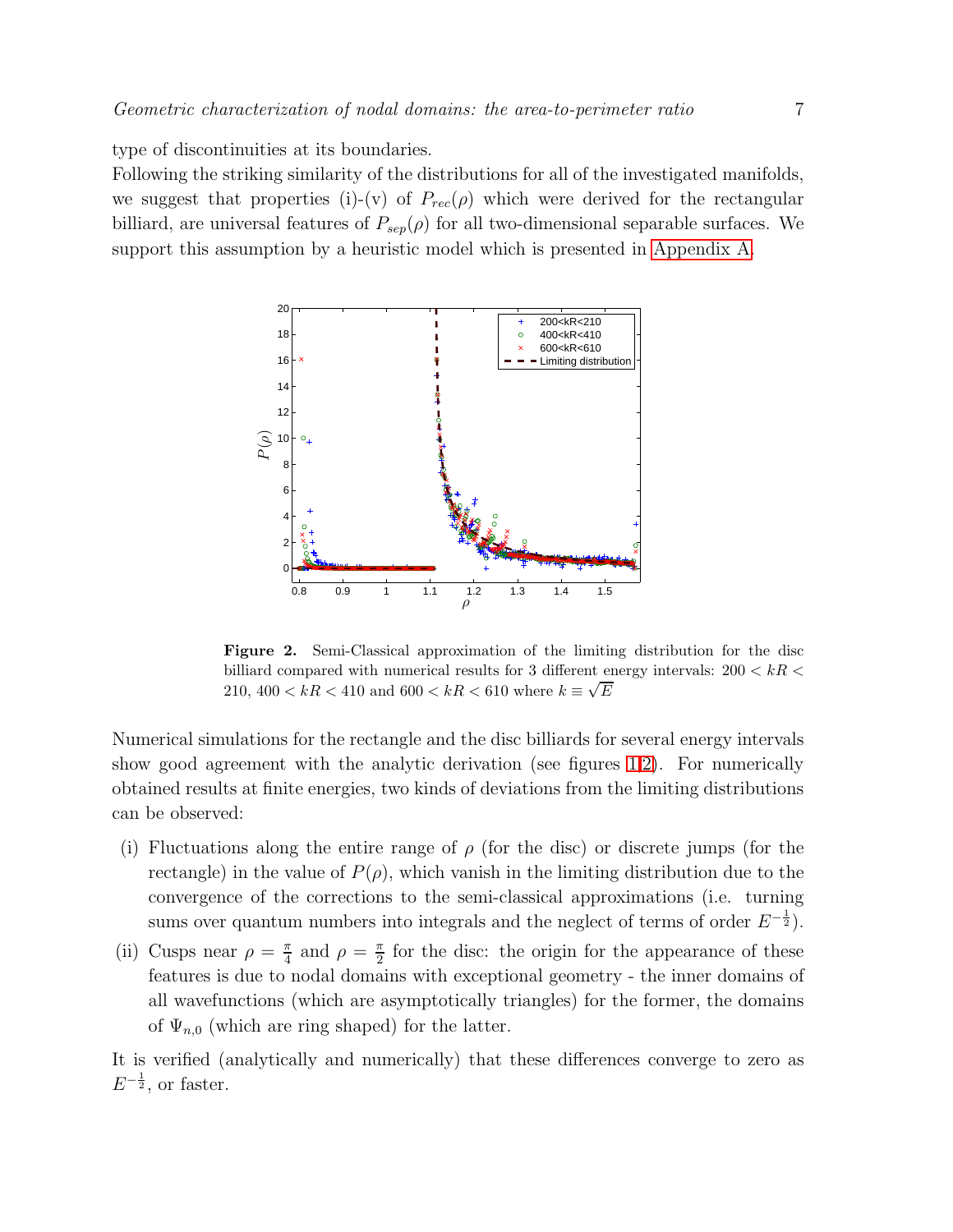type of discontinuities at its boundaries.

Following the striking similarity of the distributions for all of the investigated manifolds, we suggest that properties (i)-(v) of  $P_{rec}(\rho)$  which were derived for the rectangular billiard, are universal features of  $P_{sep}(\rho)$  for all two-dimensional separable surfaces. We support this assumption by a heuristic model which is presented in [Appendix A.](#page-13-0)



<span id="page-6-0"></span>Figure 2. Semi-Classical approximation of the limiting distribution for the disc billiard compared with numerical results for 3 different energy intervals:  $200 < kR <$ 210,  $400 < kR < 410$  and  $600 < kR < 610$  where  $k = \sqrt{E}$ 

Numerical simulations for the rectangle and the disc billiards for several energy intervals show good agreement with the analytic derivation (see figures [1,](#page-5-0)[2\)](#page-6-0). For numerically obtained results at finite energies, two kinds of deviations from the limiting distributions can be observed:

- (i) Fluctuations along the entire range of  $\rho$  (for the disc) or discrete jumps (for the rectangle) in the value of  $P(\rho)$ , which vanish in the limiting distribution due to the convergence of the corrections to the semi-classical approximations (i.e. turning sums over quantum numbers into integrals and the neglect of terms of order  $E^{-\frac{1}{2}}$ ).
- (ii) Cusps near  $\rho = \frac{\pi}{4}$  $\frac{\pi}{4}$  and  $\rho = \frac{\pi}{2}$  $\frac{\pi}{2}$  for the disc: the origin for the appearance of these features is due to nodal domains with exceptional geometry - the inner domains of all wavefunctions (which are asymptotically triangles) for the former, the domains of  $\Psi_{n,0}$  (which are ring shaped) for the latter.

It is verified (analytically and numerically) that these differences converge to zero as  $E^{-\frac{1}{2}}$ , or faster.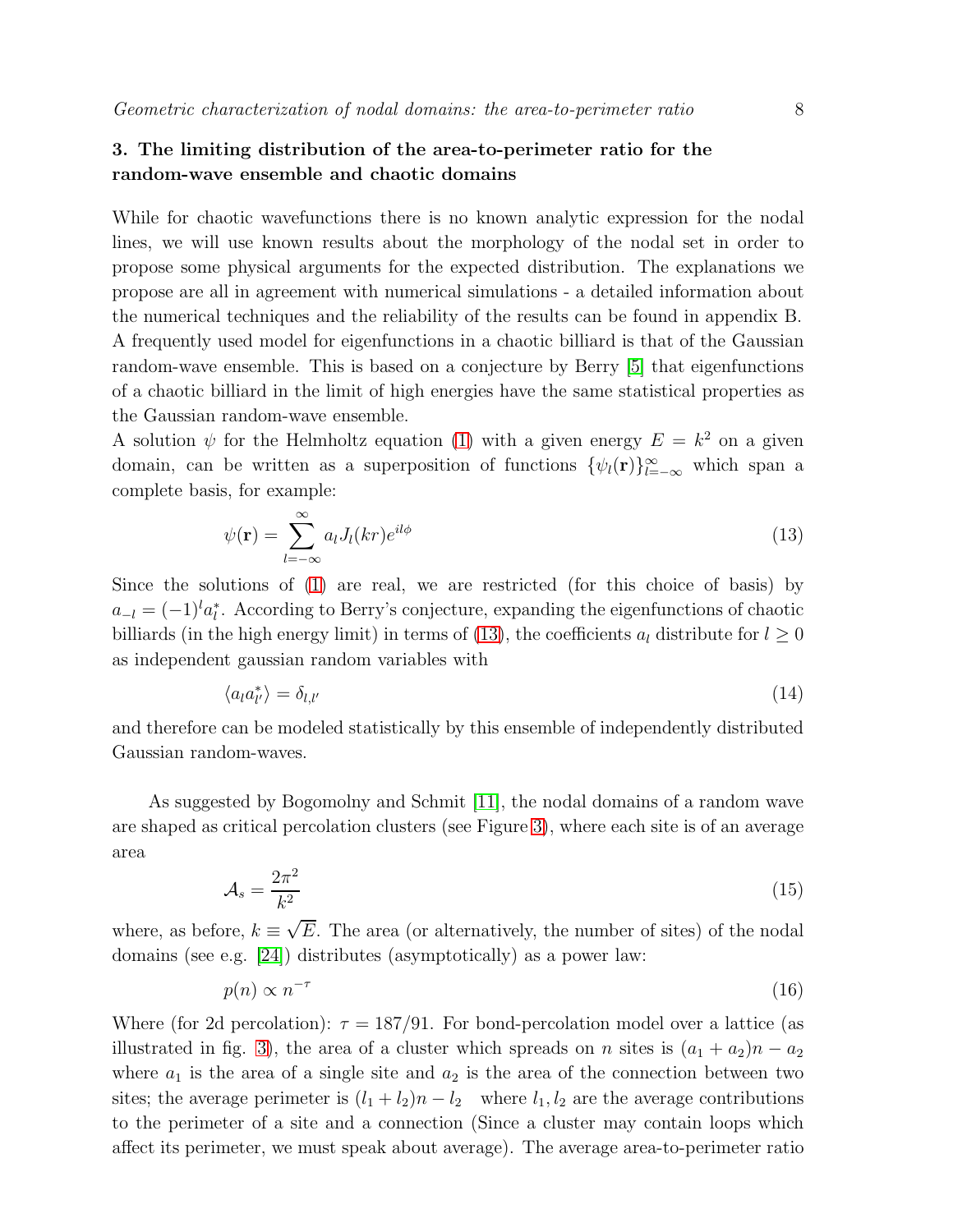# <span id="page-7-0"></span>3. The limiting distribution of the area-to-perimeter ratio for the random-wave ensemble and chaotic domains

While for chaotic wavefunctions there is no known analytic expression for the nodal lines, we will use known results about the morphology of the nodal set in order to propose some physical arguments for the expected distribution. The explanations we propose are all in agreement with numerical simulations - a detailed information about the numerical techniques and the reliability of the results can be found in appendix B. A frequently used model for eigenfunctions in a chaotic billiard is that of the Gaussian random-wave ensemble. This is based on a conjecture by Berry [\[5\]](#page-20-4) that eigenfunctions of a chaotic billiard in the limit of high energies have the same statistical properties as the Gaussian random-wave ensemble.

A solution  $\psi$  for the Helmholtz equation [\(1\)](#page-0-0) with a given energy  $E = k^2$  on a given domain, can be written as a superposition of functions  $\{\psi_i(\mathbf{r})\}_{i=-\infty}^{\infty}$  which span a complete basis, for example:

<span id="page-7-1"></span>
$$
\psi(\mathbf{r}) = \sum_{l=-\infty}^{\infty} a_l J_l(kr) e^{il\phi} \tag{13}
$$

Since the solutions of [\(1\)](#page-0-0) are real, we are restricted (for this choice of basis) by  $a_{-l} = (-1)^l a_l^*$ . According to Berry's conjecture, expanding the eigenfunctions of chaotic billiards (in the high energy limit) in terms of [\(13\)](#page-7-1), the coefficients  $a_l$  distribute for  $l \geq 0$ as independent gaussian random variables with

$$
\langle a_l a_{l'}^* \rangle = \delta_{l,l'} \tag{14}
$$

and therefore can be modeled statistically by this ensemble of independently distributed Gaussian random-waves.

As suggested by Bogomolny and Schmit [\[11\]](#page-21-0), the nodal domains of a random wave are shaped as critical percolation clusters (see Figure [3\)](#page-8-1), where each site is of an average area

$$
\mathcal{A}_s = \frac{2\pi^2}{k^2} \tag{15}
$$

where, as before,  $k \equiv \sqrt{E}$ . The area (or alternatively, the number of sites) of the nodal domains (see e.g. [\[24\]](#page-21-13)) distributes (asymptotically) as a power law:

<span id="page-7-2"></span>
$$
p(n) \propto n^{-\tau} \tag{16}
$$

Where (for 2d percolation):  $\tau = 187/91$ . For bond-percolation model over a lattice (as illustrated in fig. [3\)](#page-8-1), the area of a cluster which spreads on n sites is  $(a_1 + a_2)n - a_2$ where  $a_1$  is the area of a single site and  $a_2$  is the area of the connection between two sites; the average perimeter is  $(l_1 + l_2)n - l_2$  where  $l_1, l_2$  are the average contributions to the perimeter of a site and a connection (Since a cluster may contain loops which affect its perimeter, we must speak about average). The average area-to-perimeter ratio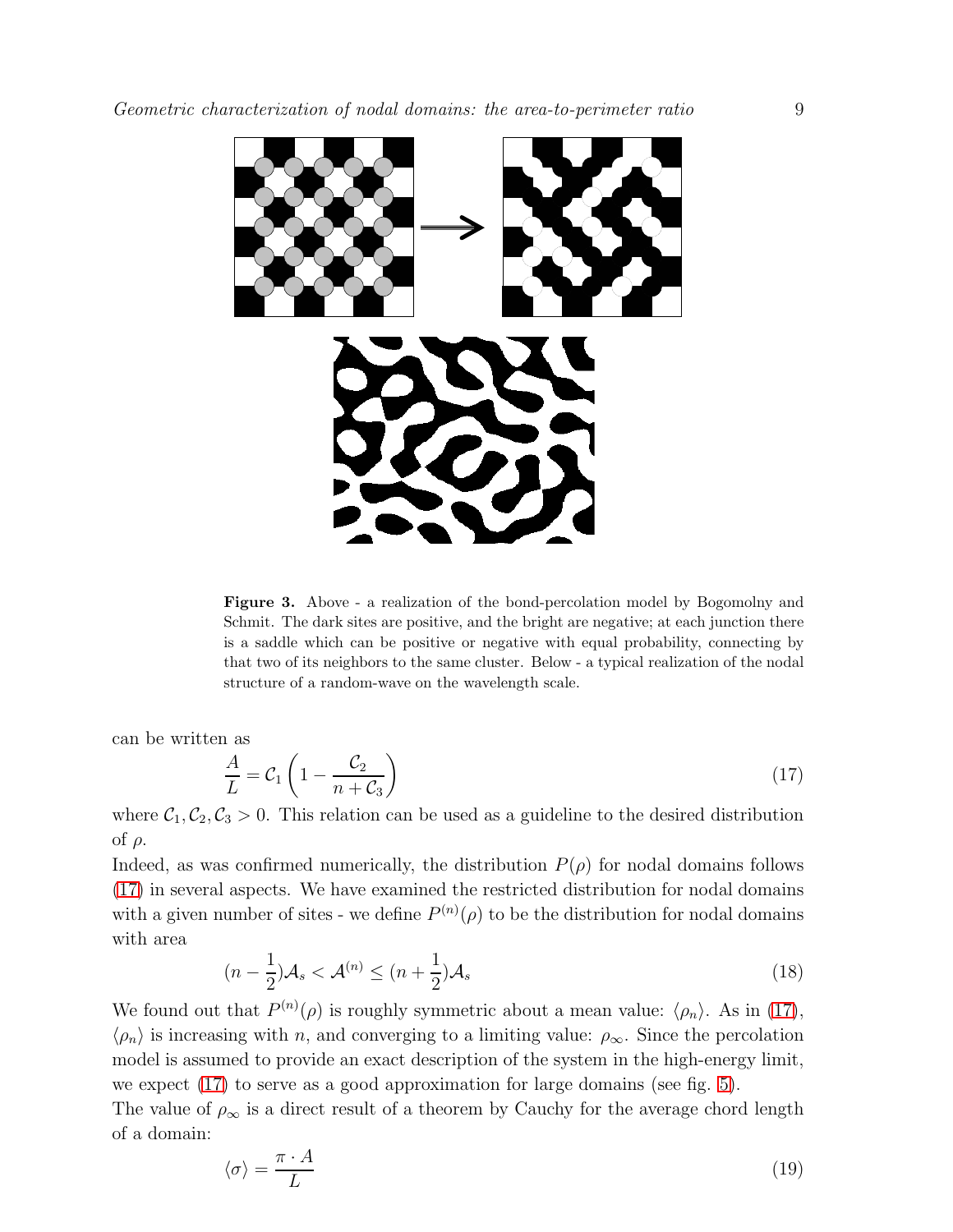

<span id="page-8-1"></span>Figure 3. Above - a realization of the bond-percolation model by Bogomolny and Schmit. The dark sites are positive, and the bright are negative; at each junction there is a saddle which can be positive or negative with equal probability, connecting by that two of its neighbors to the same cluster. Below - a typical realization of the nodal structure of a random-wave on the wavelength scale.

can be written as

<span id="page-8-0"></span>
$$
\frac{A}{L} = C_1 \left( 1 - \frac{C_2}{n + C_3} \right) \tag{17}
$$

where  $C_1, C_2, C_3 > 0$ . This relation can be used as a guideline to the desired distribution of ρ.

Indeed, as was confirmed numerically, the distribution  $P(\rho)$  for nodal domains follows [\(17\)](#page-8-0) in several aspects. We have examined the restricted distribution for nodal domains with a given number of sites - we define  $P^{(n)}(\rho)$  to be the distribution for nodal domains with area

$$
(n - \frac{1}{2})\mathcal{A}_s < \mathcal{A}^{(n)} \le (n + \frac{1}{2})\mathcal{A}_s \tag{18}
$$

We found out that  $P^{(n)}(\rho)$  is roughly symmetric about a mean value:  $\langle \rho_n \rangle$ . As in [\(17\)](#page-8-0),  $\langle \rho_n \rangle$  is increasing with n, and converging to a limiting value:  $\rho_\infty$ . Since the percolation model is assumed to provide an exact description of the system in the high-energy limit, we expect [\(17\)](#page-8-0) to serve as a good approximation for large domains (see fig. [5\)](#page-10-0).

The value of  $\rho_{\infty}$  is a direct result of a theorem by Cauchy for the average chord length of a domain:

<span id="page-8-2"></span>
$$
\langle \sigma \rangle = \frac{\pi \cdot A}{L} \tag{19}
$$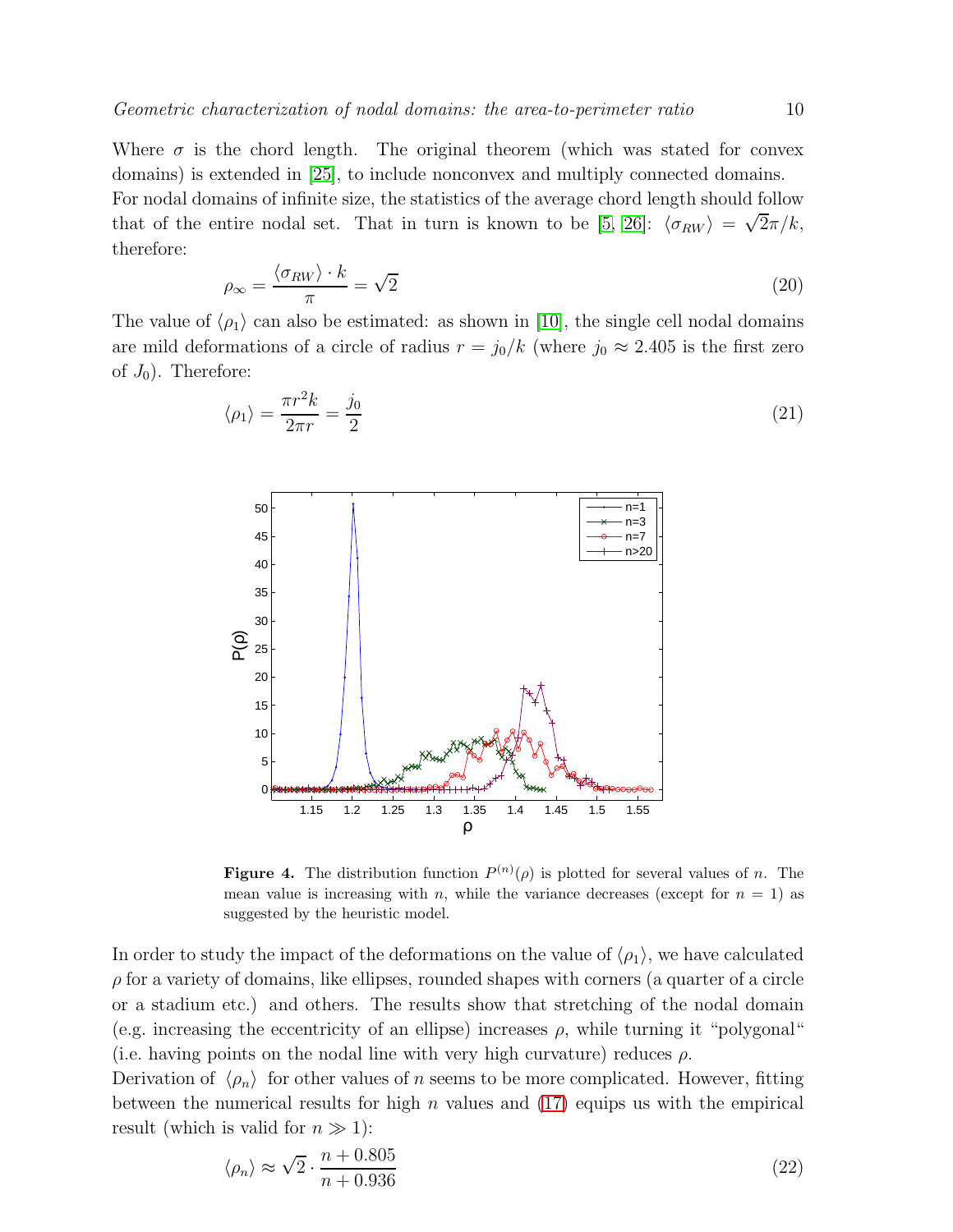Where  $\sigma$  is the chord length. The original theorem (which was stated for convex domains) is extended in [\[25\]](#page-21-14), to include nonconvex and multiply connected domains. For nodal domains of infinite size, the statistics of the average chord length should follow that of the entire nodal set. That in turn is known to be [\[5,](#page-20-4) [26\]](#page-21-15):  $\langle \sigma_{RW} \rangle = \sqrt{2\pi}/k$ , therefore:

$$
\rho_{\infty} = \frac{\langle \sigma_{RW} \rangle \cdot k}{\pi} = \sqrt{2} \tag{20}
$$

The value of  $\langle \rho_1 \rangle$  can also be estimated: as shown in [\[10\]](#page-20-9), the single cell nodal domains are mild deformations of a circle of radius  $r = j_0/k$  (where  $j_0 \approx 2.405$  is the first zero of  $J_0$ ). Therefore:

$$
\langle \rho_1 \rangle = \frac{\pi r^2 k}{2\pi r} = \frac{j_0}{2} \tag{21}
$$



**Figure 4.** The distribution function  $P^{(n)}(\rho)$  is plotted for several values of *n*. The mean value is increasing with n, while the variance decreases (except for  $n = 1$ ) as suggested by the heuristic model.

In order to study the impact of the deformations on the value of  $\langle \rho_1 \rangle$ , we have calculated  $\rho$  for a variety of domains, like ellipses, rounded shapes with corners (a quarter of a circle or a stadium etc.) and others. The results show that stretching of the nodal domain (e.g. increasing the eccentricity of an ellipse) increases  $\rho$ , while turning it "polygonal" (i.e. having points on the nodal line with very high curvature) reduces  $\rho$ .

Derivation of  $\langle \rho_n \rangle$  for other values of n seems to be more complicated. However, fitting between the numerical results for high  $n$  values and  $(17)$  equips us with the empirical result (which is valid for  $n \gg 1$ ):

$$
\langle \rho_n \rangle \approx \sqrt{2} \cdot \frac{n + 0.805}{n + 0.936} \tag{22}
$$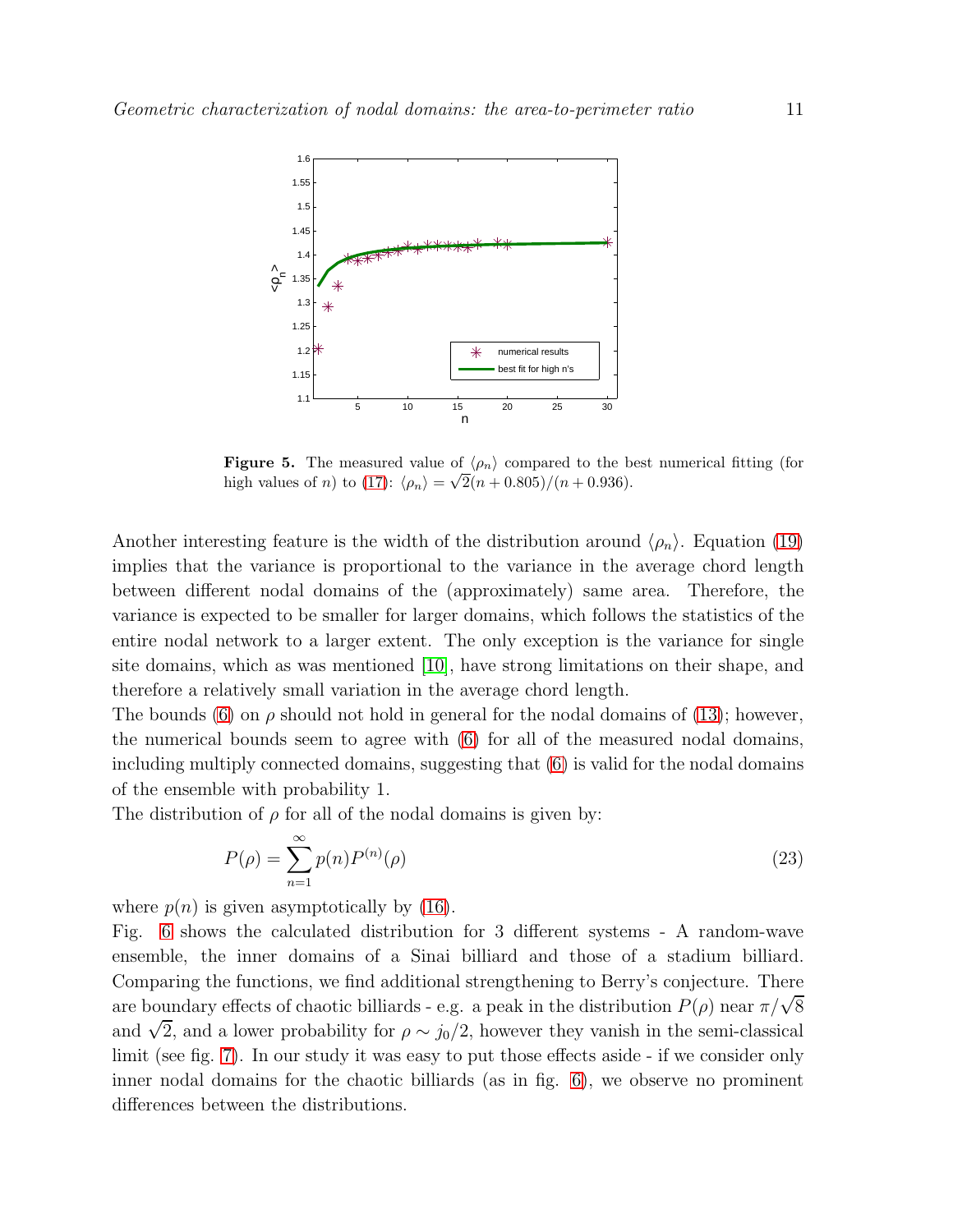

<span id="page-10-0"></span>**Figure 5.** The measured value of  $\langle \rho_n \rangle$  compared to the best numerical fitting (for high values of *n*) to [\(17\)](#page-8-0):  $\langle \rho_n \rangle = \sqrt{2(n + 0.805)} / (n + 0.936)$ .

Another interesting feature is the width of the distribution around  $\langle \rho_n \rangle$ . Equation [\(19\)](#page-8-2) implies that the variance is proportional to the variance in the average chord length between different nodal domains of the (approximately) same area. Therefore, the variance is expected to be smaller for larger domains, which follows the statistics of the entire nodal network to a larger extent. The only exception is the variance for single site domains, which as was mentioned [\[10\]](#page-20-9), have strong limitations on their shape, and therefore a relatively small variation in the average chord length.

The bounds [\(6\)](#page-3-0) on  $\rho$  should not hold in general for the nodal domains of [\(13\)](#page-7-1); however, the numerical bounds seem to agree with [\(6\)](#page-3-0) for all of the measured nodal domains, including multiply connected domains, suggesting that [\(6\)](#page-3-0) is valid for the nodal domains of the ensemble with probability 1.

The distribution of  $\rho$  for all of the nodal domains is given by:

$$
P(\rho) = \sum_{n=1}^{\infty} p(n) P^{(n)}(\rho)
$$
\n(23)

where  $p(n)$  is given asymptotically by [\(16\)](#page-7-2).

Fig. [6](#page-11-0) shows the calculated distribution for 3 different systems - A random-wave ensemble, the inner domains of a Sinai billiard and those of a stadium billiard. Comparing the functions, we find additional strengthening to Berry's conjecture. There are boundary effects of chaotic billiards - e.g. a peak in the distribution  $P(\rho)$  near  $\pi/\sqrt{8}$ and  $\sqrt{2}$ , and a lower probability for  $\rho \sim j_0/2$ , however they vanish in the semi-classical limit (see fig. [7\)](#page-11-1). In our study it was easy to put those effects aside - if we consider only inner nodal domains for the chaotic billiards (as in fig. [6\)](#page-11-0), we observe no prominent differences between the distributions.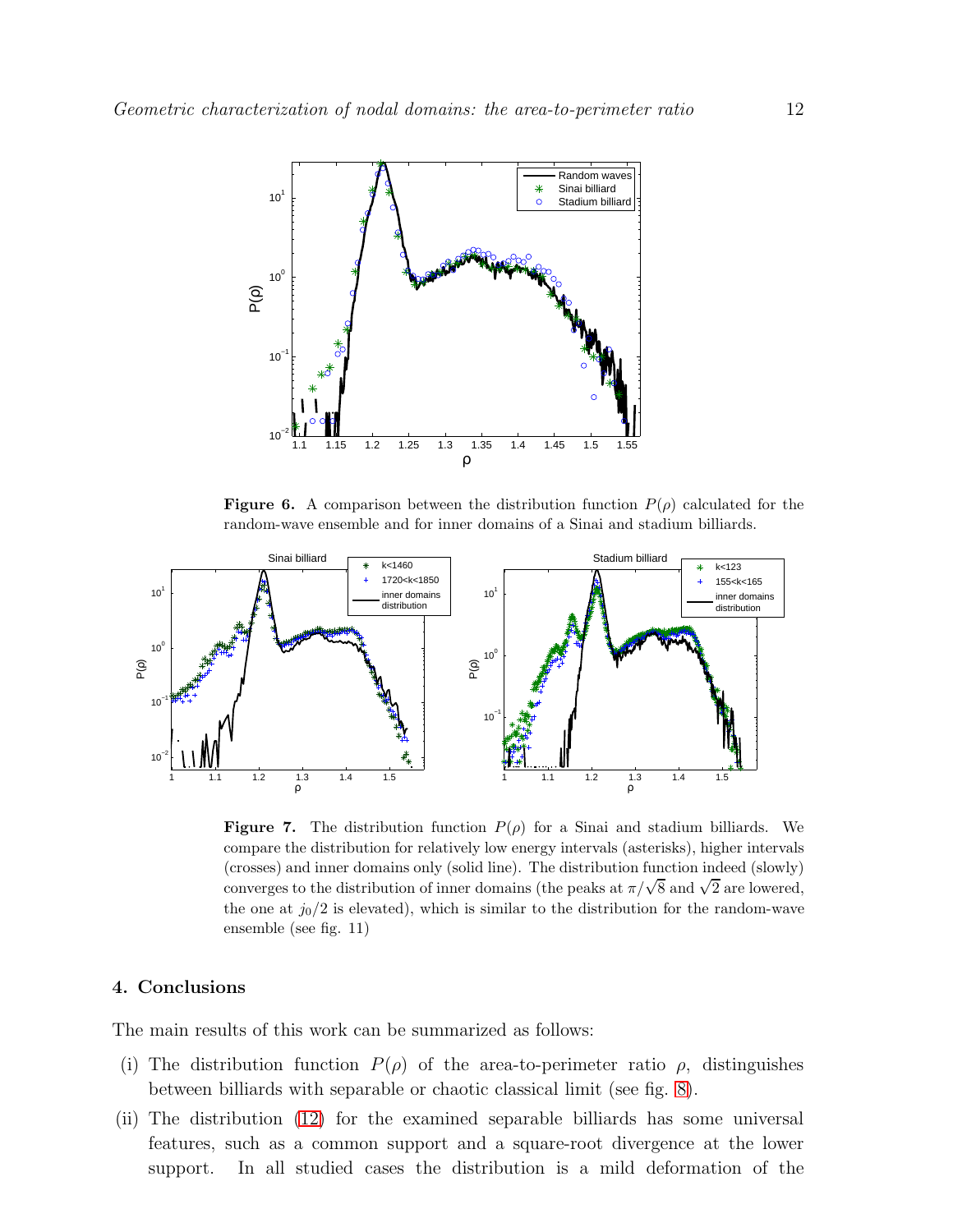

<span id="page-11-0"></span>**Figure 6.** A comparison between the distribution function  $P(\rho)$  calculated for the random-wave ensemble and for inner domains of a Sinai and stadium billiards.



<span id="page-11-1"></span>**Figure 7.** The distribution function  $P(\rho)$  for a Sinai and stadium billiards. We compare the distribution for relatively low energy intervals (asterisks), higher intervals (crosses) and inner domains only (solid line). The distribution function indeed (slowly) converges to the distribution of inner domains (the peaks at  $\pi/\sqrt{8}$  and  $\sqrt{2}$  are lowered, the one at  $j_0/2$  is elevated), which is similar to the distribution for the random-wave ensemble (see fig. 11)

## 4. Conclusions

The main results of this work can be summarized as follows:

- (i) The distribution function  $P(\rho)$  of the area-to-perimeter ratio  $\rho$ , distinguishes between billiards with separable or chaotic classical limit (see fig. [8\)](#page-12-0).
- (ii) The distribution [\(12\)](#page-5-1) for the examined separable billiards has some universal features, such as a common support and a square-root divergence at the lower support. In all studied cases the distribution is a mild deformation of the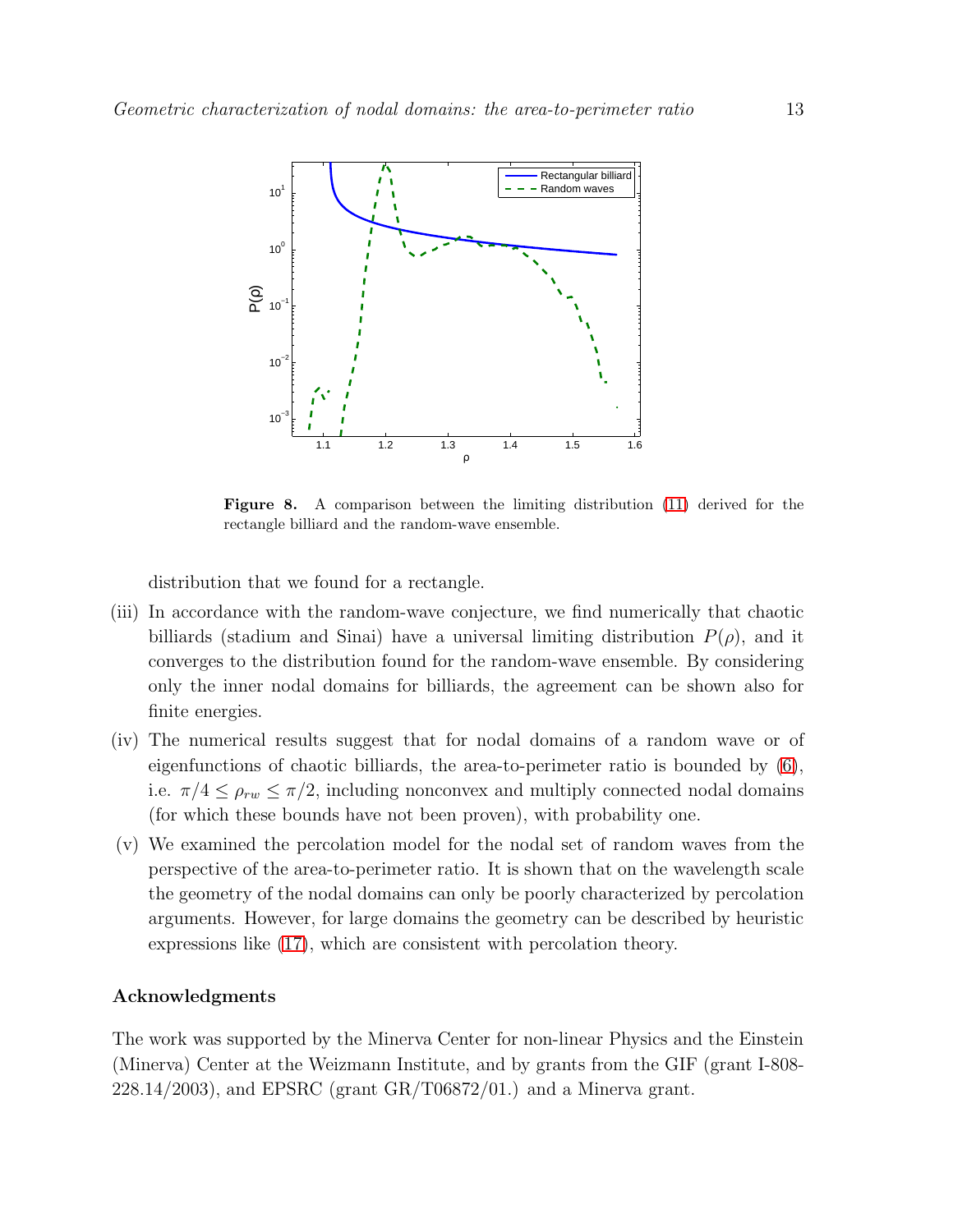

<span id="page-12-0"></span>Figure 8. A comparison between the limiting distribution [\(11\)](#page-4-1) derived for the rectangle billiard and the random-wave ensemble.

distribution that we found for a rectangle.

- (iii) In accordance with the random-wave conjecture, we find numerically that chaotic billiards (stadium and Sinai) have a universal limiting distribution  $P(\rho)$ , and it converges to the distribution found for the random-wave ensemble. By considering only the inner nodal domains for billiards, the agreement can be shown also for finite energies.
- (iv) The numerical results suggest that for nodal domains of a random wave or of eigenfunctions of chaotic billiards, the area-to-perimeter ratio is bounded by [\(6\)](#page-3-0), i.e.  $\pi/4 \leq \rho_{rw} \leq \pi/2$ , including nonconvex and multiply connected nodal domains (for which these bounds have not been proven), with probability one.
- (v) We examined the percolation model for the nodal set of random waves from the perspective of the area-to-perimeter ratio. It is shown that on the wavelength scale the geometry of the nodal domains can only be poorly characterized by percolation arguments. However, for large domains the geometry can be described by heuristic expressions like [\(17\)](#page-8-0), which are consistent with percolation theory.

### Acknowledgments

The work was supported by the Minerva Center for non-linear Physics and the Einstein (Minerva) Center at the Weizmann Institute, and by grants from the GIF (grant I-808- 228.14/2003), and EPSRC (grant GR/T06872/01.) and a Minerva grant.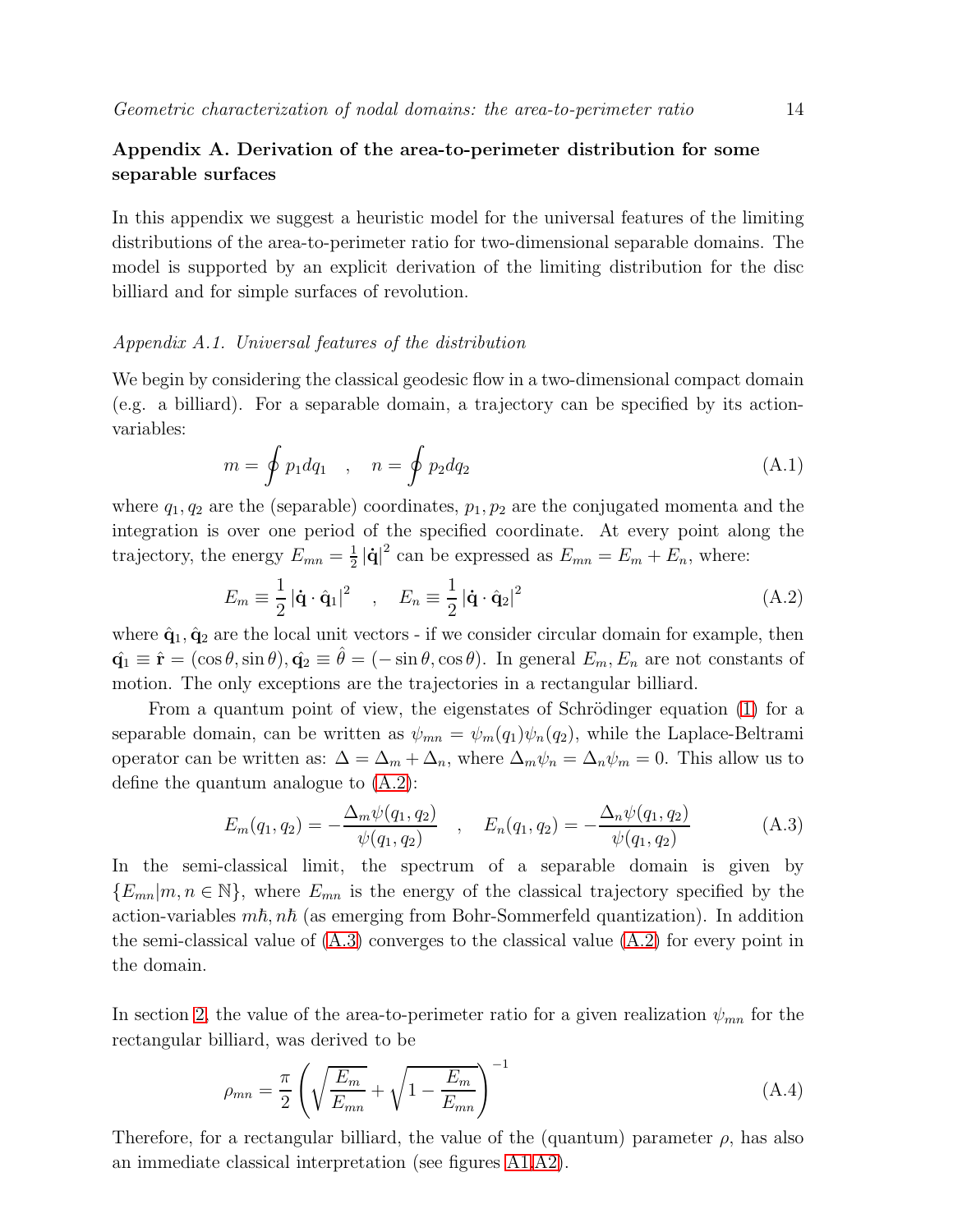## <span id="page-13-0"></span>Appendix A. Derivation of the area-to-perimeter distribution for some separable surfaces

In this appendix we suggest a heuristic model for the universal features of the limiting distributions of the area-to-perimeter ratio for two-dimensional separable domains. The model is supported by an explicit derivation of the limiting distribution for the disc billiard and for simple surfaces of revolution.

#### *Appendix A.1. Universal features of the distribution*

We begin by considering the classical geodesic flow in a two-dimensional compact domain (e.g. a billiard). For a separable domain, a trajectory can be specified by its actionvariables:

$$
m = \oint p_1 dq_1 , \quad n = \oint p_2 dq_2
$$
 (A.1)

where  $q_1, q_2$  are the (separable) coordinates,  $p_1, p_2$  are the conjugated momenta and the integration is over one period of the specified coordinate. At every point along the trajectory, the energy  $E_{mn} = \frac{1}{2}$  $\frac{1}{2}|\dot{\mathbf{q}}|^2$  can be expressed as  $E_{mn} = E_m + E_n$ , where:

<span id="page-13-1"></span>
$$
E_m \equiv \frac{1}{2} |\dot{\mathbf{q}} \cdot \hat{\mathbf{q}}_1|^2 \quad , \quad E_n \equiv \frac{1}{2} |\dot{\mathbf{q}} \cdot \hat{\mathbf{q}}_2|^2 \tag{A.2}
$$

where  $\hat{\mathbf{q}}_1, \hat{\mathbf{q}}_2$  are the local unit vectors - if we consider circular domain for example, then  $\hat{\mathbf{q}}_1 \equiv \hat{\mathbf{r}} = (\cos \theta, \sin \theta), \hat{\mathbf{q}}_2 \equiv \hat{\theta} = (-\sin \theta, \cos \theta).$  In general  $E_m, E_n$  are not constants of motion. The only exceptions are the trajectories in a rectangular billiard.

From a quantum point of view, the eigenstates of Schrödinger equation  $(1)$  for a separable domain, can be written as  $\psi_{mn} = \psi_m(q_1)\psi_n(q_2)$ , while the Laplace-Beltrami operator can be written as:  $\Delta = \Delta_m + \Delta_n$ , where  $\Delta_m \psi_n = \Delta_n \psi_m = 0$ . This allow us to define the quantum analogue to [\(A.2\)](#page-13-1):

<span id="page-13-2"></span>
$$
E_m(q_1, q_2) = -\frac{\Delta_m \psi(q_1, q_2)}{\psi(q_1, q_2)}, \quad E_n(q_1, q_2) = -\frac{\Delta_n \psi(q_1, q_2)}{\psi(q_1, q_2)}
$$
(A.3)

In the semi-classical limit, the spectrum of a separable domain is given by  ${E_{mn}}|m, n \in \mathbb{N}$ , where  $E_{mn}$  is the energy of the classical trajectory specified by the action-variables  $m\hbar$ ,  $n\hbar$  (as emerging from Bohr-Sommerfeld quantization). In addition the semi-classical value of  $(A.3)$  converges to the classical value  $(A.2)$  for every point in the domain.

In section [2,](#page-4-2) the value of the area-to-perimeter ratio for a given realization  $\psi_{mn}$  for the rectangular billiard, was derived to be

<span id="page-13-3"></span>
$$
\rho_{mn} = \frac{\pi}{2} \left( \sqrt{\frac{E_m}{E_{mn}}} + \sqrt{1 - \frac{E_m}{E_{mn}}} \right)^{-1}
$$
\n(A.4)

Therefore, for a rectangular billiard, the value of the (quantum) parameter  $\rho$ , has also an immediate classical interpretation (see figures [A1](#page-14-0)[,A2\)](#page-14-1).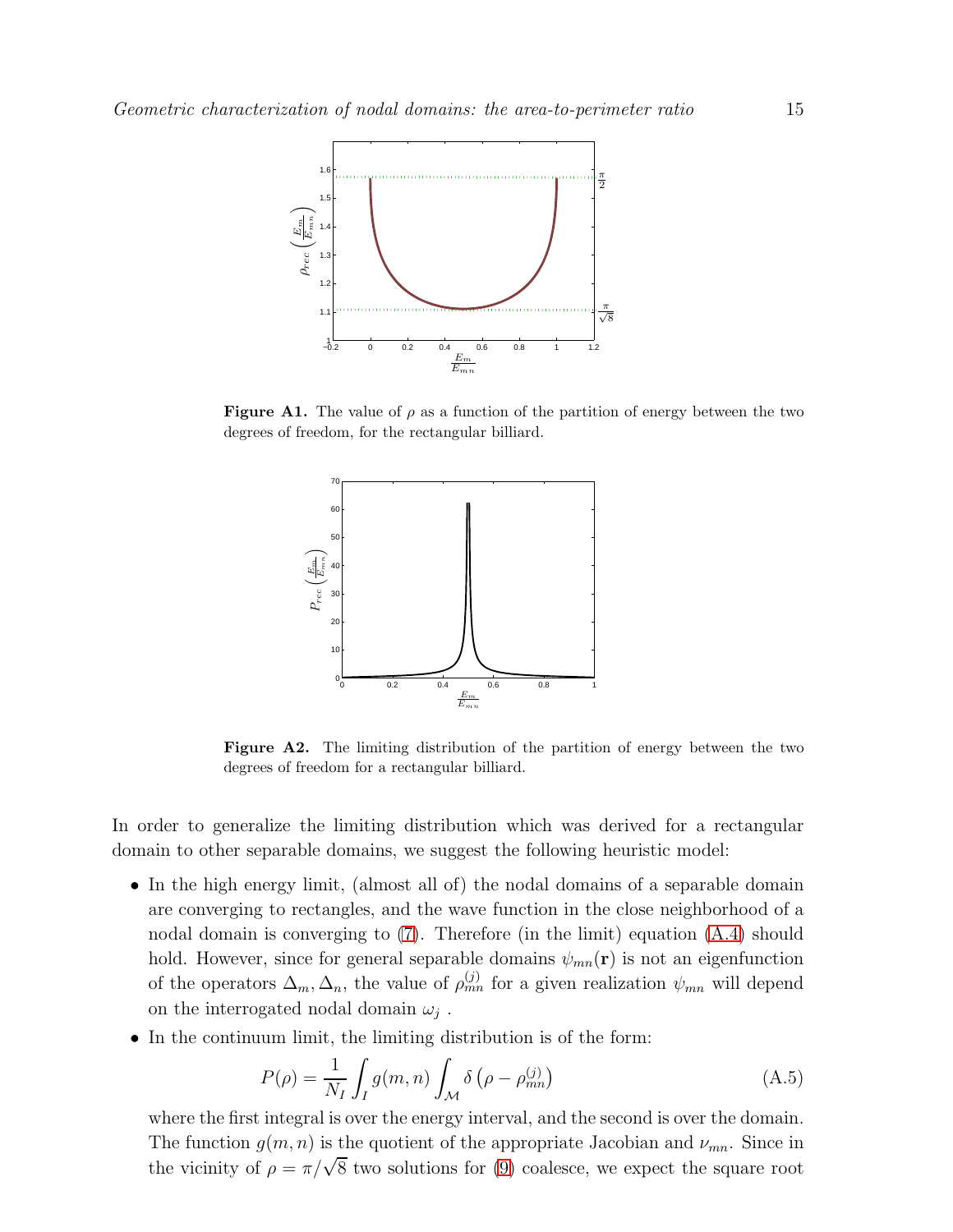

**Figure A1.** The value of  $\rho$  as a function of the partition of energy between the two degrees of freedom, for the rectangular billiard.

<span id="page-14-0"></span>

<span id="page-14-1"></span>Figure A2. The limiting distribution of the partition of energy between the two degrees of freedom for a rectangular billiard.

In order to generalize the limiting distribution which was derived for a rectangular domain to other separable domains, we suggest the following heuristic model:

- In the high energy limit, (almost all of) the nodal domains of a separable domain are converging to rectangles, and the wave function in the close neighborhood of a nodal domain is converging to [\(7\)](#page-4-3). Therefore (in the limit) equation [\(A.4\)](#page-13-3) should hold. However, since for general separable domains  $\psi_{mn}(\mathbf{r})$  is not an eigenfunction of the operators  $\Delta_m, \Delta_n$ , the value of  $\rho_{mn}^{(j)}$  for a given realization  $\psi_{mn}$  will depend on the interrogated nodal domain  $\omega_j$ .
- In the continuum limit, the limiting distribution is of the form:

$$
P(\rho) = \frac{1}{N_I} \int_I g(m, n) \int_{\mathcal{M}} \delta\left(\rho - \rho_{mn}^{(j)}\right) \tag{A.5}
$$

where the first integral is over the energy interval, and the second is over the domain. The function  $g(m, n)$  is the quotient of the appropriate Jacobian and  $\nu_{mn}$ . Since in the vicinity of  $\rho = \pi/\sqrt{8}$  two solutions for [\(9\)](#page-4-0) coalesce, we expect the square root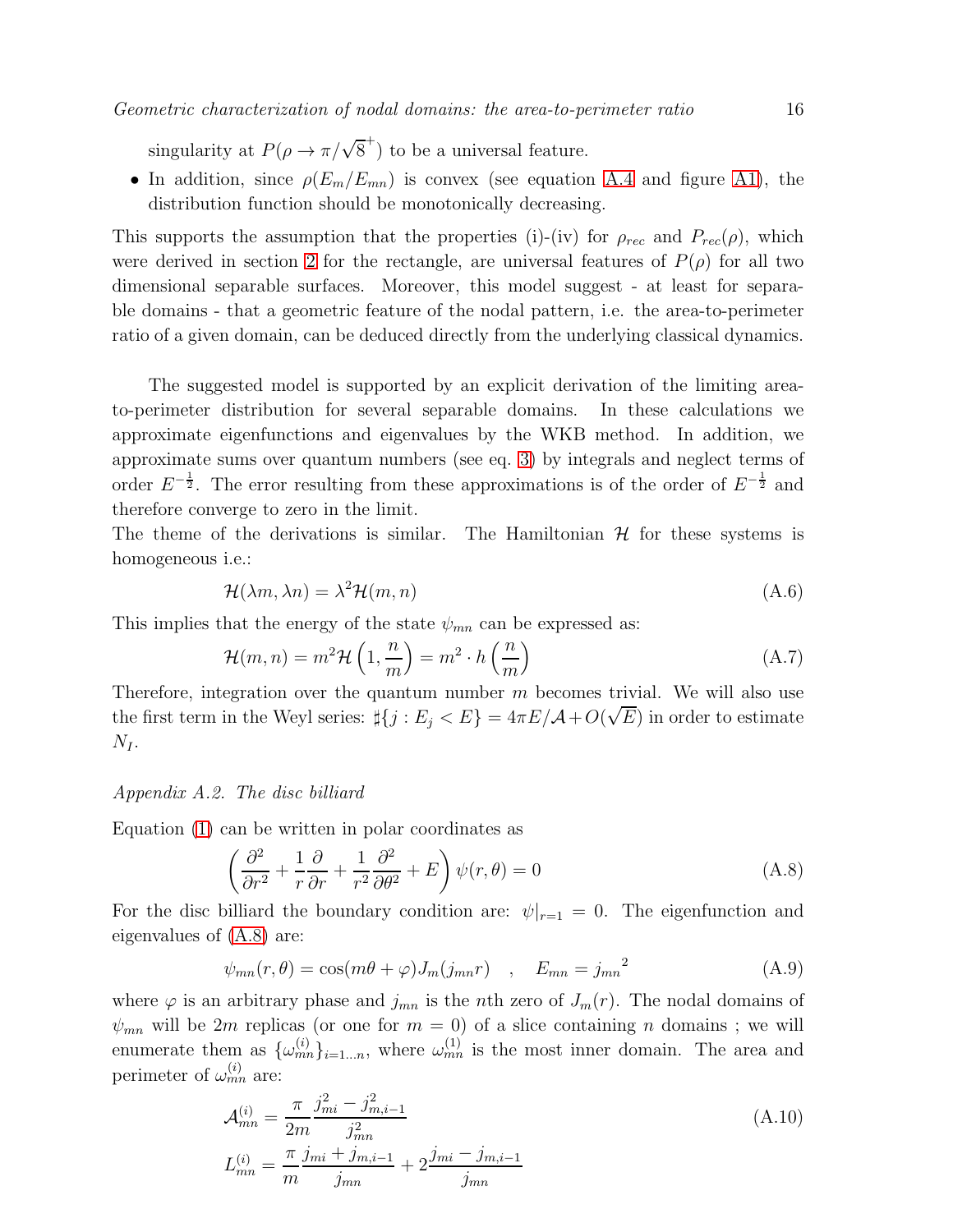singularity at  $P(\rho \to \pi/\sqrt{8}^+)$  to be a universal feature.

• In addition, since  $\rho(E_m/E_{mn})$  is convex (see equation [A.4](#page-13-3) and figure [A1\)](#page-14-0), the distribution function should be monotonically decreasing.

This supports the assumption that the properties (i)-(iv) for  $\rho_{rec}$  and  $P_{rec}(\rho)$ , which were derived in section [2](#page-4-2) for the rectangle, are universal features of  $P(\rho)$  for all two dimensional separable surfaces. Moreover, this model suggest - at least for separable domains - that a geometric feature of the nodal pattern, i.e. the area-to-perimeter ratio of a given domain, can be deduced directly from the underlying classical dynamics.

The suggested model is supported by an explicit derivation of the limiting areato-perimeter distribution for several separable domains. In these calculations we approximate eigenfunctions and eigenvalues by the WKB method. In addition, we approximate sums over quantum numbers (see eq. [3\)](#page-2-0) by integrals and neglect terms of order  $E^{-\frac{1}{2}}$ . The error resulting from these approximations is of the order of  $E^{-\frac{1}{2}}$  and therefore converge to zero in the limit.

The theme of the derivations is similar. The Hamiltonian  $H$  for these systems is homogeneous i.e.:

$$
\mathcal{H}(\lambda m, \lambda n) = \lambda^2 \mathcal{H}(m, n) \tag{A.6}
$$

This implies that the energy of the state  $\psi_{mn}$  can be expressed as:

$$
\mathcal{H}(m,n) = m^2 \mathcal{H}\left(1, \frac{n}{m}\right) = m^2 \cdot h\left(\frac{n}{m}\right)
$$
\n(A.7)

Therefore, integration over the quantum number  $m$  becomes trivial. We will also use the first term in the Weyl series:  $\sharp\{j : E_j < E\} = 4\pi E/\mathcal{A} + O(\sqrt{E})$  in order to estimate  $N_I$ .

#### <span id="page-15-1"></span>*Appendix A.2. The disc billiard*

Equation [\(1\)](#page-0-0) can be written in polar coordinates as

<span id="page-15-0"></span>
$$
\left(\frac{\partial^2}{\partial r^2} + \frac{1}{r}\frac{\partial}{\partial r} + \frac{1}{r^2}\frac{\partial^2}{\partial \theta^2} + E\right)\psi(r,\theta) = 0\tag{A.8}
$$

For the disc billiard the boundary condition are:  $\psi|_{r=1} = 0$ . The eigenfunction and eigenvalues of [\(A.8\)](#page-15-0) are:

$$
\psi_{mn}(r,\theta) = \cos(m\theta + \varphi)J_m(j_{mn}r) \quad , \quad E_{mn} = j_{mn}^2 \tag{A.9}
$$

where  $\varphi$  is an arbitrary phase and  $j_{mn}$  is the nth zero of  $J_m(r)$ . The nodal domains of  $\psi_{mn}$  will be 2m replicas (or one for  $m = 0$ ) of a slice containing n domains; we will enumerate them as  $\{\omega_{mn}^{(i)}\}_{i=1...n}$ , where  $\omega_{mn}^{(1)}$  is the most inner domain. The area and perimeter of  $\omega_{mn}^{(i)}$  are:

$$
\mathcal{A}_{mn}^{(i)} = \frac{\pi}{2m} \frac{j_{mi}^2 - j_{m,i-1}^2}{j_{mn}^2}
$$
\n
$$
L_{mn}^{(i)} = \frac{\pi}{m} \frac{j_{mi} + j_{m,i-1}}{j_{mn}} + 2 \frac{j_{mi} - j_{m,i-1}}{j_{mn}}
$$
\n(A.10)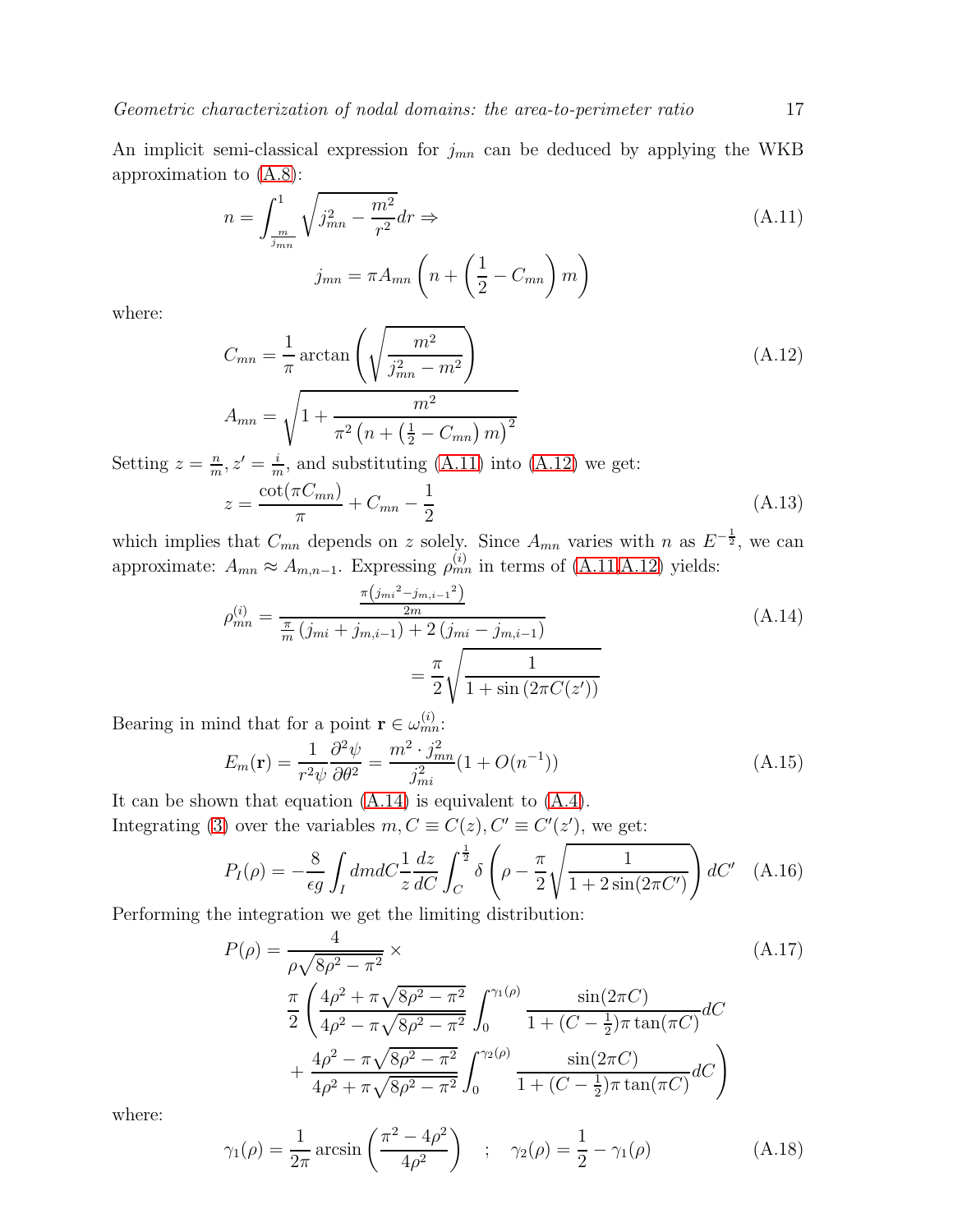An implicit semi-classical expression for  $j_{mn}$  can be deduced by applying the WKB approximation to [\(A.8\)](#page-15-0):

<span id="page-16-0"></span>
$$
n = \int_{\frac{m}{j_{mn}}}^{1} \sqrt{j_{mn}^2 - \frac{m^2}{r^2}} dr \Rightarrow
$$
  
\n
$$
j_{mn} = \pi A_{mn} \left( n + \left( \frac{1}{2} - C_{mn} \right) m \right)
$$
\n(A.11)

where:

<span id="page-16-1"></span>
$$
C_{mn} = \frac{1}{\pi} \arctan\left(\sqrt{\frac{m^2}{j_{mn}^2 - m^2}}\right)
$$
\n
$$
A_{mn} = \sqrt{1 + \frac{m^2}{\pi^2 \left(n + \left(\frac{1}{2} - C_{mn}\right)m\right)^2}}
$$
\n
$$
A_{mn} = \sqrt{1 + \frac{m^2}{\pi^2 \left(n + \left(\frac{1}{2} - C_{mn}\right)m\right)^2}}
$$
\n
$$
A_{mn} = \sqrt{1 + \frac{m^2}{\pi^2 \left(n + \left(\frac{1}{2} - C_{mn}\right)m\right)^2}}
$$
\n
$$
A_{mn} = \sqrt{1 + \frac{m^2}{\pi^2 \left(n + \left(\frac{1}{2} - C_{mn}\right)m\right)^2}}
$$
\n
$$
A_{mn} = \sqrt{1 + \frac{m^2}{\pi^2 \left(n + \left(\frac{1}{2} - C_{mn}\right)m\right)^2}}
$$
\n
$$
A_{mn} = \sqrt{1 + \frac{m^2}{\pi^2 \left(n + \left(\frac{1}{2} - C_{mn}\right)m\right)^2}}
$$
\n
$$
A_{mn} = \sqrt{1 + \frac{m^2}{\pi^2 \left(n + \left(\frac{1}{2} - C_{mn}\right)m\right)^2}}
$$
\n
$$
A_{mn} = \sqrt{1 + \frac{m^2}{\pi^2 \left(n + \left(\frac{1}{2} - C_{mn}\right)m\right)^2}}
$$
\n
$$
A_{mn} = \sqrt{1 + \frac{m^2}{\pi^2 \left(n + \left(\frac{1}{2} - C_{mn}\right)m\right)^2}}
$$
\n
$$
A_{mn} = \sqrt{1 + \frac{m^2}{\pi^2 \left(n + \left(\frac{1}{2} - C_{mn}\right)m\right)^2}}
$$

Setting  $z = \frac{n}{m}$  $\frac{n}{m}, z' = \frac{i}{m}$  $\frac{i}{m}$ , and substituting [\(A.11\)](#page-16-0) into [\(A.12\)](#page-16-1) we get:  $z = \frac{\cot(\pi C_{mn})}{2}$  $\frac{1}{\pi} + C_{mn}$  – 1 2

which implies that  $C_{mn}$  depends on z solely. Since  $A_{mn}$  varies with n as  $E^{-\frac{1}{2}}$ , we can approximate:  $A_{mn} \approx A_{m,n-1}$ . Expressing  $\rho_{mn}^{(i)}$  in terms of [\(A.11,](#page-16-0)[A.12\)](#page-16-1) yields:

<span id="page-16-2"></span>
$$
\rho_{mn}^{(i)} = \frac{\frac{\pi (j_{mi}^2 - j_{m,i-1}^2)}{2m}}{\frac{\pi}{m} (j_{mi} + j_{m,i-1}) + 2 (j_{mi} - j_{m,i-1})}
$$
\n
$$
= \frac{\pi}{2} \sqrt{\frac{1}{1 + \sin(2\pi C(z'))}}
$$
\n(A.14)

Bearing in mind that for a point  $\mathbf{r} \in \omega_{mn}^{(i)}$ :

$$
E_m(\mathbf{r}) = \frac{1}{r^2 \psi} \frac{\partial^2 \psi}{\partial \theta^2} = \frac{m^2 \cdot j_{mn}^2}{j_{mi}^2} (1 + O(n^{-1})) \tag{A.15}
$$

It can be shown that equation [\(A.14\)](#page-16-2) is equivalent to [\(A.4\)](#page-13-3). Integrating [\(3\)](#page-2-0) over the variables  $m, C \equiv C(z), C' \equiv C'(z')$ , we get:

$$
P_I(\rho) = -\frac{8}{\epsilon g} \int_I dmdC \frac{1}{z} \frac{dz}{dC} \int_C^{\frac{1}{2}} \delta\left(\rho - \frac{\pi}{2} \sqrt{\frac{1}{1 + 2\sin(2\pi C')}}\right) dC' \quad (A.16)
$$

Performing the integration we get the limiting distribution:

$$
P(\rho) = \frac{4}{\rho\sqrt{8\rho^2 - \pi^2}} \times
$$
\n
$$
\frac{\pi}{2} \left( \frac{4\rho^2 + \pi\sqrt{8\rho^2 - \pi^2}}{4\rho^2 - \pi\sqrt{8\rho^2 - \pi^2}} \int_0^{\gamma_1(\rho)} \frac{\sin(2\pi C)}{1 + (C - \frac{1}{2})\pi \tan(\pi C)} dC + \frac{4\rho^2 - \pi\sqrt{8\rho^2 - \pi^2}}{4\rho^2 + \pi\sqrt{8\rho^2 - \pi^2}} \int_0^{\gamma_2(\rho)} \frac{\sin(2\pi C)}{1 + (C - \frac{1}{2})\pi \tan(\pi C)} dC \right)
$$
\n(A.17)

where:

$$
\gamma_1(\rho) = \frac{1}{2\pi} \arcsin\left(\frac{\pi^2 - 4\rho^2}{4\rho^2}\right) \quad ; \quad \gamma_2(\rho) = \frac{1}{2} - \gamma_1(\rho)
$$
\n(A.18)

(A.13)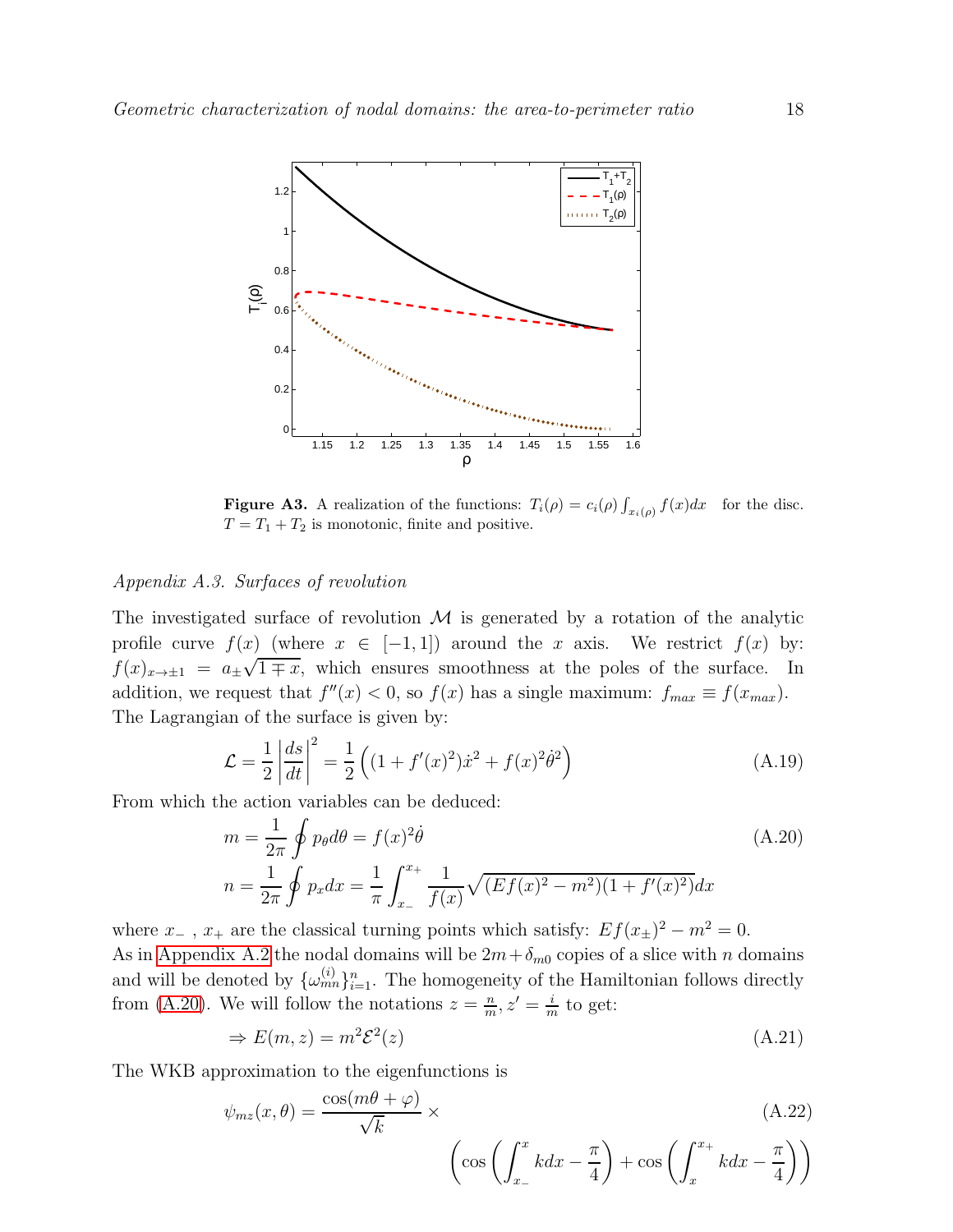

**Figure A3.** A realization of the functions:  $T_i(\rho) = c_i(\rho) \int_{x_i(\rho)} f(x) dx$  for the disc.  $T = T_1 + T_2$  is monotonic, finite and positive.

## *Appendix A.3. Surfaces of revolution*

The investigated surface of revolution  $\mathcal M$  is generated by a rotation of the analytic profile curve  $f(x)$  (where  $x \in [-1,1]$ ) around the x axis. We restrict  $f(x)$  by:  $f(x)_{x\to\pm 1} = a_{\pm}\sqrt{1 \pm x}$ , which ensures smoothness at the poles of the surface. In addition, we request that  $f''(x) < 0$ , so  $f(x)$  has a single maximum:  $f_{max} \equiv f(x_{max})$ . The Lagrangian of the surface is given by:

$$
\mathcal{L} = \frac{1}{2} \left| \frac{ds}{dt} \right|^2 = \frac{1}{2} \left( (1 + f'(x)^2) \dot{x}^2 + f(x)^2 \dot{\theta}^2 \right) \tag{A.19}
$$

From which the action variables can be deduced:

<span id="page-17-0"></span>
$$
m = \frac{1}{2\pi} \oint p_{\theta} d\theta = f(x)^2 \dot{\theta}
$$
  
\n
$$
n = \frac{1}{2\pi} \oint p_x dx = \frac{1}{\pi} \int_{x_-}^{x_+} \frac{1}{f(x)} \sqrt{(Ef(x)^2 - m^2)(1 + f'(x)^2)} dx
$$
\n(A.20)

where  $x_{-}$ ,  $x_{+}$  are the classical turning points which satisfy:  $Ef(x_{+})^2 - m^2 = 0$ . As in [Appendix A.2](#page-15-1) the nodal domains will be  $2m+\delta_{m0}$  copies of a slice with n domains and will be denoted by  $\{\omega_{mn}^{(i)}\}_{i=1}^n$ . The homogeneity of the Hamiltonian follows directly from [\(A.20\)](#page-17-0). We will follow the notations  $z = \frac{n}{m}$  $\frac{n}{m}, z' = \frac{i}{m}$  $\frac{\imath}{m}$  to get:

$$
\Rightarrow E(m, z) = m^2 \mathcal{E}^2(z) \tag{A.21}
$$

The WKB approximation to the eigenfunctions is

$$
\psi_{mz}(x,\theta) = \frac{\cos(m\theta + \varphi)}{\sqrt{k}} \times \left(\cos\left(\int_{x_{-}}^{x} kdx - \frac{\pi}{4}\right) + \cos\left(\int_{x_{-}}^{x_{+}} kdx - \frac{\pi}{4}\right)\right)
$$
\n(A.22)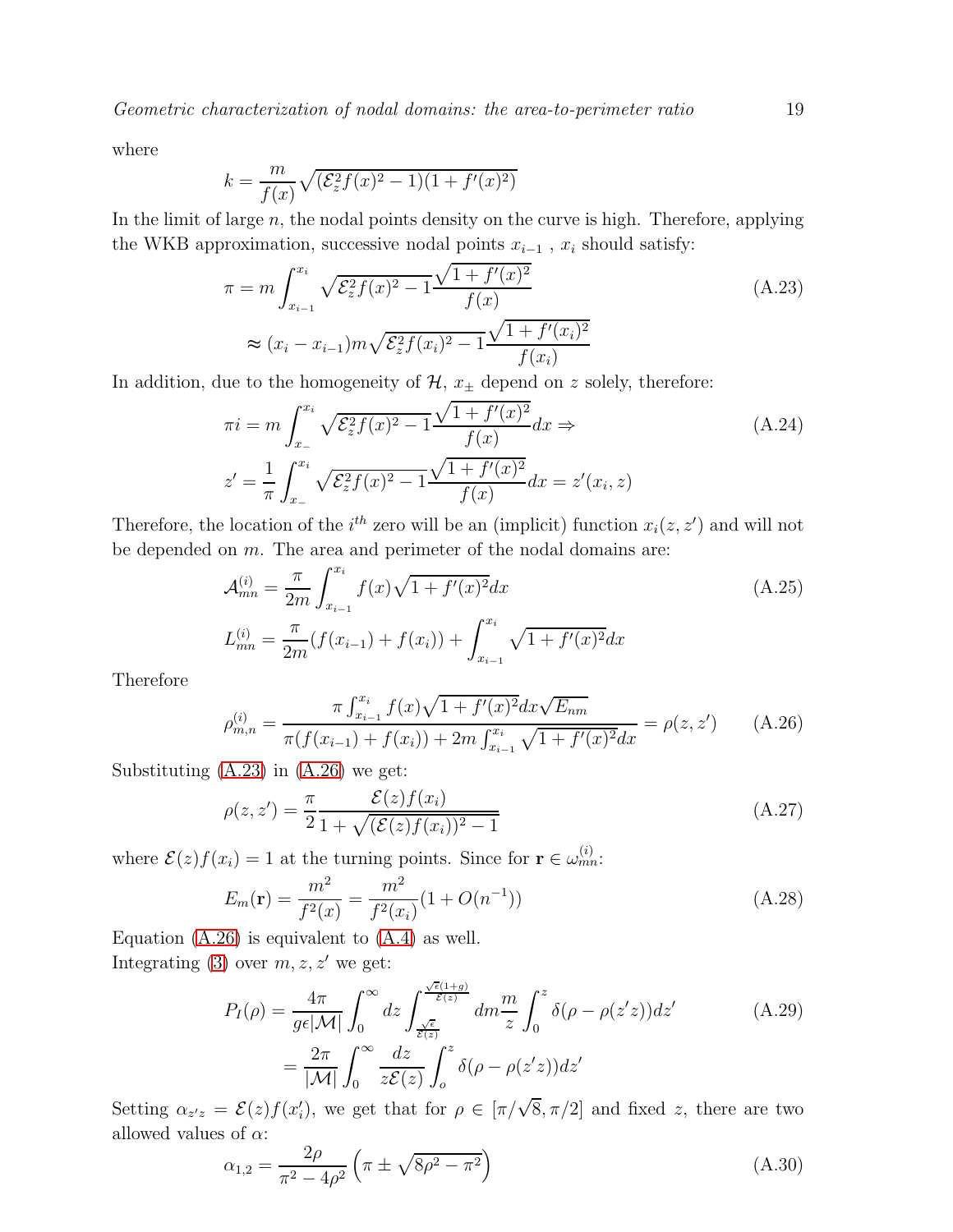*Geometric characterization of nodal domains: the area-to-perimeter ratio* 19

where

$$
k = \frac{m}{f(x)}\sqrt{(\mathcal{E}_z^2 f(x)^2 - 1)(1 + f'(x)^2)}
$$

In the limit of large  $n$ , the nodal points density on the curve is high. Therefore, applying the WKB approximation, successive nodal points  $x_{i-1}$ ,  $x_i$  should satisfy:

<span id="page-18-0"></span>
$$
\pi = m \int_{x_{i-1}}^{x_i} \sqrt{\mathcal{E}_z^2 f(x)^2 - 1} \frac{\sqrt{1 + f'(x)^2}}{f(x)}
$$
\n
$$
\approx (x_i - x_{i-1}) m \sqrt{\mathcal{E}_z^2 f(x_i)^2 - 1} \frac{\sqrt{1 + f'(x_i)^2}}{f(x_i)}
$$
\n(A.23)

In addition, due to the homogeneity of  $\mathcal{H}$ ,  $x_{\pm}$  depend on z solely, therefore:

$$
\pi i = m \int_{x_{-}}^{x_{i}} \sqrt{\mathcal{E}_{z}^{2} f(x)^{2} - 1} \frac{\sqrt{1 + f'(x)^{2}}}{f(x)} dx \Rightarrow
$$
\n
$$
z' = \frac{1}{\pi} \int_{x_{-}}^{x_{i}} \sqrt{\mathcal{E}_{z}^{2} f(x)^{2} - 1} \frac{\sqrt{1 + f'(x)^{2}}}{f(x)} dx = z'(x_{i}, z)
$$
\n(A.24)

Therefore, the location of the  $i^{th}$  zero will be an (implicit) function  $x_i(z, z')$  and will not be depended on m. The area and perimeter of the nodal domains are:

$$
\mathcal{A}_{mn}^{(i)} = \frac{\pi}{2m} \int_{x_{i-1}}^{x_i} f(x) \sqrt{1 + f'(x)^2} dx
$$
\n
$$
L_{mn}^{(i)} = \frac{\pi}{2m} (f(x_{i-1}) + f(x_i)) + \int_{x_{i-1}}^{x_i} \sqrt{1 + f'(x)^2} dx
$$
\n(A.25)

Therefore

<span id="page-18-1"></span>
$$
\rho_{m,n}^{(i)} = \frac{\pi \int_{x_{i-1}}^{x_i} f(x) \sqrt{1 + f'(x)^2} dx \sqrt{E_{nm}}}{\pi (f(x_{i-1}) + f(x_i)) + 2m \int_{x_{i-1}}^{x_i} \sqrt{1 + f'(x)^2} dx} = \rho(z, z')
$$
 (A.26)

Substituting [\(A.23\)](#page-18-0) in [\(A.26\)](#page-18-1) we get:

$$
\rho(z, z') = \frac{\pi}{2} \frac{\mathcal{E}(z) f(x_i)}{1 + \sqrt{(\mathcal{E}(z) f(x_i))^2 - 1}} \tag{A.27}
$$

where  $\mathcal{E}(z)f(x_i) = 1$  at the turning points. Since for  $\mathbf{r} \in \omega_{mn}^{(i)}$ :

$$
E_m(\mathbf{r}) = \frac{m^2}{f^2(x)} = \frac{m^2}{f^2(x_i)} (1 + O(n^{-1}))
$$
\n(A.28)

Equation  $(A.26)$  is equivalent to  $(A.4)$  as well. Integrating [\(3\)](#page-2-0) over  $m, z, z'$  we get:

$$
P_{I}(\rho) = \frac{4\pi}{g\epsilon|\mathcal{M}|} \int_{0}^{\infty} dz \int_{\frac{\sqrt{\epsilon}}{\mathcal{E}(z)}}^{\frac{\sqrt{\epsilon}(1+g)}{\mathcal{E}(z)}} dm \frac{m}{z} \int_{0}^{z} \delta(\rho - \rho(z'z)) dz' \qquad (A.29)
$$

$$
= \frac{2\pi}{|\mathcal{M}|} \int_{0}^{\infty} \frac{dz}{z\mathcal{E}(z)} \int_{0}^{z} \delta(\rho - \rho(z'z)) dz' \qquad (A.29)
$$

Setting  $\alpha_{z,z} = \mathcal{E}(z) f(x'_i)$ , we get that for  $\rho \in [\pi/\sqrt{8}, \pi/2]$  and fixed z, there are two allowed values of  $\alpha$ :

$$
\alpha_{1,2} = \frac{2\rho}{\pi^2 - 4\rho^2} \left(\pi \pm \sqrt{8\rho^2 - \pi^2}\right)
$$
\n(A.30)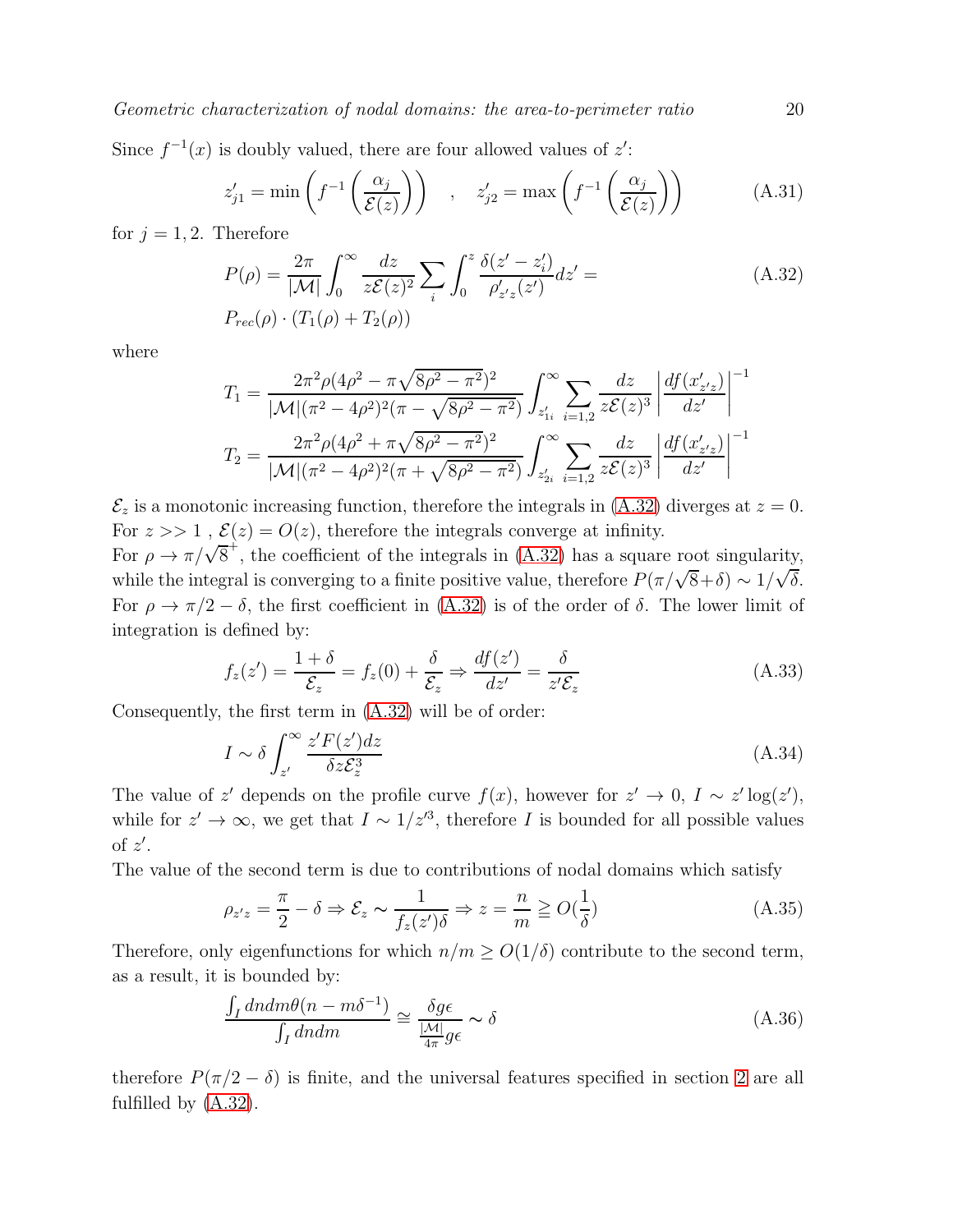Since  $f^{-1}(x)$  is doubly valued, there are four allowed values of  $z'$ :

$$
z'_{j1} = \min\left(f^{-1}\left(\frac{\alpha_j}{\mathcal{E}(z)}\right)\right) , \quad z'_{j2} = \max\left(f^{-1}\left(\frac{\alpha_j}{\mathcal{E}(z)}\right)\right) \tag{A.31}
$$

for  $j = 1, 2$ . Therefore

<span id="page-19-0"></span>
$$
P(\rho) = \frac{2\pi}{|\mathcal{M}|} \int_0^\infty \frac{dz}{z\mathcal{E}(z)^2} \sum_i \int_0^z \frac{\delta(z'-z_i')}{\rho_{z'z}'(z')} dz' =
$$
  
\n
$$
P_{rec}(\rho) \cdot (T_1(\rho) + T_2(\rho))
$$
\n(A.32)

where

$$
T_1 = \frac{2\pi^2 \rho (4\rho^2 - \pi \sqrt{8\rho^2 - \pi^2})^2}{|\mathcal{M}| (\pi^2 - 4\rho^2)^2 (\pi - \sqrt{8\rho^2 - \pi^2})} \int_{z'_{1i}}^{\infty} \sum_{i=1,2} \frac{dz}{z\mathcal{E}(z)^3} \left| \frac{df(x'_{z'z})}{dz'} \right|^{-1}
$$

$$
T_2 = \frac{2\pi^2 \rho (4\rho^2 + \pi \sqrt{8\rho^2 - \pi^2})^2}{|\mathcal{M}| (\pi^2 - 4\rho^2)^2 (\pi + \sqrt{8\rho^2 - \pi^2})} \int_{z'_{2i}}^{\infty} \sum_{i=1,2} \frac{dz}{z\mathcal{E}(z)^3} \left| \frac{df(x'_{z'z})}{dz'} \right|^{-1}
$$

 $\mathcal{E}_z$  is a monotonic increasing function, therefore the integrals in [\(A.32\)](#page-19-0) diverges at  $z = 0$ . For  $z \gg 1$ ,  $\mathcal{E}(z) = O(z)$ , therefore the integrals converge at infinity.

For  $\rho \to \pi/\sqrt{8}^+$ , the coefficient of the integrals in [\(A.32\)](#page-19-0) has a square root singularity, while the integral is converging to a finite positive value, therefore  $P(\pi/\sqrt{8}+\delta) \sim 1/\sqrt{\delta}$ . For  $\rho \to \pi/2 - \delta$ , the first coefficient in [\(A.32\)](#page-19-0) is of the order of  $\delta$ . The lower limit of integration is defined by:

$$
f_z(z') = \frac{1+\delta}{\mathcal{E}_z} = f_z(0) + \frac{\delta}{\mathcal{E}_z} \Rightarrow \frac{df(z')}{dz'} = \frac{\delta}{z'\mathcal{E}_z}
$$
(A.33)

Consequently, the first term in [\(A.32\)](#page-19-0) will be of order:

$$
I \sim \delta \int_{z'}^{\infty} \frac{z' F(z') dz}{\delta z \mathcal{E}_z^3}
$$
 (A.34)

The value of z' depends on the profile curve  $f(x)$ , however for  $z' \to 0$ ,  $I \sim z' \log(z')$ , while for  $z' \to \infty$ , we get that  $I \sim 1/z'^3$ , therefore I is bounded for all possible values of  $z'$ .

The value of the second term is due to contributions of nodal domains which satisfy

$$
\rho_{z'z} = \frac{\pi}{2} - \delta \Rightarrow \mathcal{E}_z \sim \frac{1}{f_z(z')\delta} \Rightarrow z = \frac{n}{m} \ge O(\frac{1}{\delta})
$$
\n(A.35)

Therefore, only eigenfunctions for which  $n/m \ge O(1/\delta)$  contribute to the second term, as a result, it is bounded by:

$$
\frac{\int_{I} d\nu \, d\nu \, d\nu}{\int_{I} d\nu \, d\nu} \cong \frac{\delta g \epsilon}{\frac{|\mathcal{M}|}{4\pi} g \epsilon} \sim \delta \tag{A.36}
$$

therefore  $P(\pi/2 - \delta)$  is finite, and the universal features specified in section [2](#page-4-2) are all fulfilled by [\(A.32\)](#page-19-0).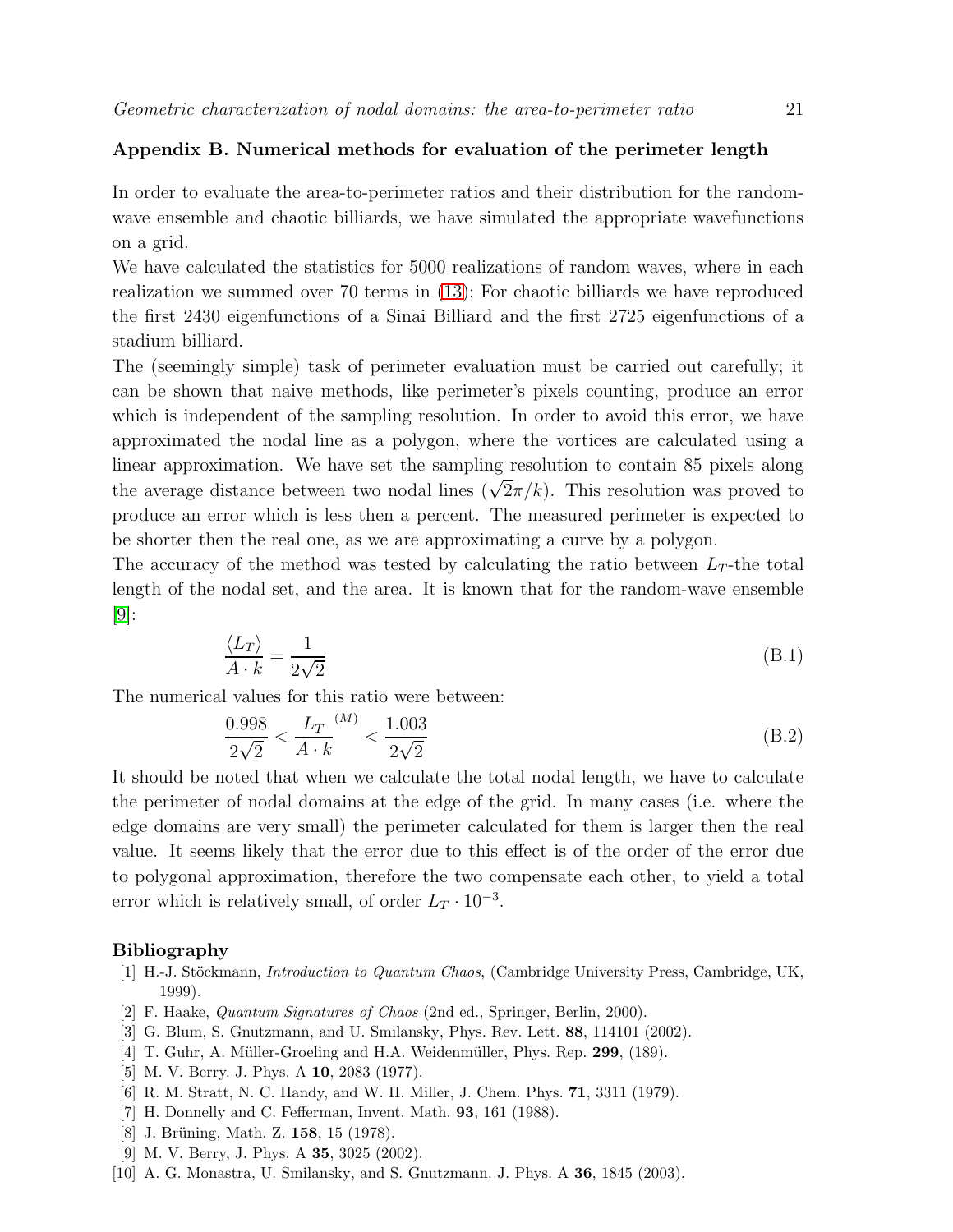## Appendix B. Numerical methods for evaluation of the perimeter length

In order to evaluate the area-to-perimeter ratios and their distribution for the randomwave ensemble and chaotic billiards, we have simulated the appropriate wavefunctions on a grid.

We have calculated the statistics for 5000 realizations of random waves, where in each realization we summed over 70 terms in [\(13\)](#page-7-1); For chaotic billiards we have reproduced the first 2430 eigenfunctions of a Sinai Billiard and the first 2725 eigenfunctions of a stadium billiard.

The (seemingly simple) task of perimeter evaluation must be carried out carefully; it can be shown that naive methods, like perimeter's pixels counting, produce an error which is independent of the sampling resolution. In order to avoid this error, we have approximated the nodal line as a polygon, where the vortices are calculated using a linear approximation. We have set the sampling resolution to contain 85 pixels along the average distance between two nodal lines  $(\sqrt{2}\pi/k)$ . This resolution was proved to produce an error which is less then a percent. The measured perimeter is expected to be shorter then the real one, as we are approximating a curve by a polygon.

The accuracy of the method was tested by calculating the ratio between  $L<sub>T</sub>$ -the total length of the nodal set, and the area. It is known that for the random-wave ensemble [\[9\]](#page-20-8):

$$
\frac{\langle L_T \rangle}{A \cdot k} = \frac{1}{2\sqrt{2}}\tag{B.1}
$$

The numerical values for this ratio were between:

$$
\frac{0.998}{2\sqrt{2}} < \frac{L_T}{A \cdot k}^{(M)} < \frac{1.003}{2\sqrt{2}} \tag{B.2}
$$

It should be noted that when we calculate the total nodal length, we have to calculate the perimeter of nodal domains at the edge of the grid. In many cases (i.e. where the edge domains are very small) the perimeter calculated for them is larger then the real value. It seems likely that the error due to this effect is of the order of the error due to polygonal approximation, therefore the two compensate each other, to yield a total error which is relatively small, of order  $L_T \cdot 10^{-3}$ .

#### <span id="page-20-0"></span>Bibliography

- [1] H.-J. Stöckmann, *Introduction to Quantum Chaos*, (Cambridge University Press, Cambridge, UK, 1999).
- <span id="page-20-2"></span><span id="page-20-1"></span>[2] F. Haake, Quantum Signatures of Chaos (2nd ed., Springer, Berlin, 2000).
- <span id="page-20-3"></span>[3] G. Blum, S. Gnutzmann, and U. Smilansky, Phys. Rev. Lett. 88, 114101 (2002).
- <span id="page-20-4"></span>[4] T. Guhr, A. Müller-Groeling and H.A. Weidenmüller, Phys. Rep. 299, (189).
- <span id="page-20-5"></span>[5] M. V. Berry. J. Phys. A **10**, 2083 (1977).
- <span id="page-20-6"></span>[6] R. M. Stratt, N. C. Handy, and W. H. Miller, J. Chem. Phys. 71, 3311 (1979).
- <span id="page-20-7"></span>[7] H. Donnelly and C. Fefferman, Invent. Math. 93, 161 (1988).
- <span id="page-20-8"></span>[8] J. Brüning, Math. Z. 158, 15 (1978).
- <span id="page-20-9"></span>[9] M. V. Berry, J. Phys. A **35**, 3025 (2002).
- [10] A. G. Monastra, U. Smilansky, and S. Gnutzmann. J. Phys. A 36, 1845 (2003).